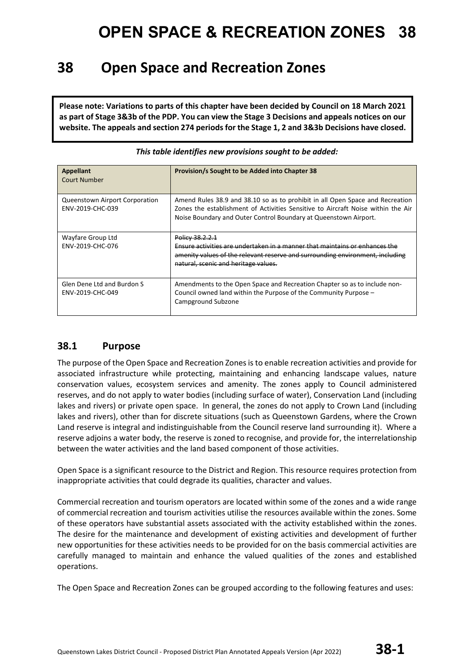### **38 Open Space and Recreation Zones**

**Please note: Variations to parts of this chapter have been decided by Council on 18 March 2021 as part of Stage 3&3b of the PDP. You can view the Stage 3 Decisions and appeals notices on our website. The appeals and section 274 periods for the Stage 1, 2 and 3&3b Decisions have closed.**

| Appellant<br>Court Number                                 | Provision/s Sought to be Added into Chapter 38                                                                                                                                                                                        |
|-----------------------------------------------------------|---------------------------------------------------------------------------------------------------------------------------------------------------------------------------------------------------------------------------------------|
| <b>Queenstown Airport Corporation</b><br>ENV-2019-CHC-039 | Amend Rules 38.9 and 38.10 so as to prohibit in all Open Space and Recreation<br>Zones the establishment of Activities Sensitive to Aircraft Noise within the Air<br>Noise Boundary and Outer Control Boundary at Queenstown Airport. |
| Wayfare Group Ltd<br>ENV-2019-CHC-076                     | Policy 38.2.2.1<br>Ensure activities are undertaken in a manner that maintains or enhances the<br>amenity values of the relevant reserve and surrounding environment, including<br>natural, scenic and heritage values.               |
| Glen Dene Ltd and Burdon S<br>ENV-2019-CHC-049            | Amendments to the Open Space and Recreation Chapter so as to include non-<br>Council owned land within the Purpose of the Community Purpose -<br>Campground Subzone                                                                   |

*This table identifies new provisions sought to be added:*

#### **38.1 Purpose**

The purpose of the Open Space and Recreation Zones is to enable recreation activities and provide for associated infrastructure while protecting, maintaining and enhancing landscape values, nature conservation values, ecosystem services and amenity. The zones apply to Council administered reserves, and do not apply to water bodies (including surface of water), Conservation Land (including lakes and rivers) or private open space. In general, the zones do not apply to Crown Land (including lakes and rivers), other than for discrete situations (such as Queenstown Gardens, where the Crown Land reserve is integral and indistinguishable from the Council reserve land surrounding it). Where a reserve adjoins a water body, the reserve is zoned to recognise, and provide for, the interrelationship between the water activities and the land based component of those activities.

Open Space is a significant resource to the District and Region. This resource requires protection from inappropriate activities that could degrade its qualities, character and values.

Commercial recreation and tourism operators are located within some of the zones and a wide range of commercial recreation and tourism activities utilise the resources available within the zones. Some of these operators have substantial assets associated with the activity established within the zones. The desire for the maintenance and development of existing activities and development of further new opportunities for these activities needs to be provided for on the basis commercial activities are carefully managed to maintain and enhance the valued qualities of the zones and established operations.

The Open Space and Recreation Zones can be grouped according to the following features and uses: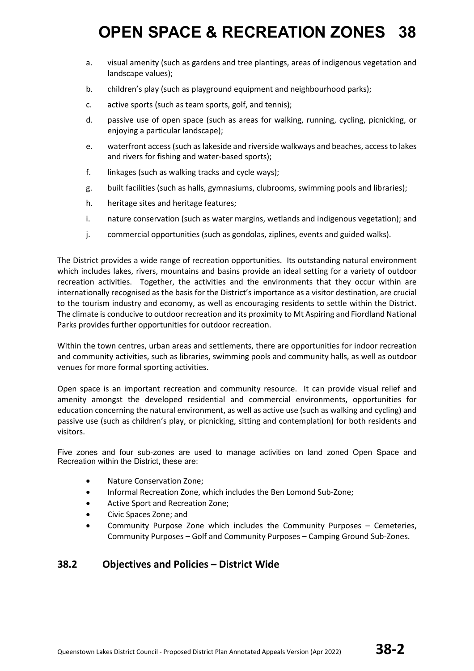- a. visual amenity (such as gardens and tree plantings, areas of indigenous vegetation and landscape values);
- b. children's play (such as playground equipment and neighbourhood parks);
- c. active sports (such as team sports, golf, and tennis);
- d. passive use of open space (such as areas for walking, running, cycling, picnicking, or enjoying a particular landscape);
- e. waterfront access (such as lakeside and riverside walkways and beaches, access to lakes and rivers for fishing and water-based sports);
- f. linkages (such as walking tracks and cycle ways);
- g. built facilities (such as halls, gymnasiums, clubrooms, swimming pools and libraries);
- h. heritage sites and heritage features;
- i. nature conservation (such as water margins, wetlands and indigenous vegetation); and
- j. commercial opportunities (such as gondolas, ziplines, events and guided walks).

The District provides a wide range of recreation opportunities. Its outstanding natural environment which includes lakes, rivers, mountains and basins provide an ideal setting for a variety of outdoor recreation activities. Together, the activities and the environments that they occur within are internationally recognised as the basis for the District's importance as a visitor destination, are crucial to the tourism industry and economy, as well as encouraging residents to settle within the District. The climate is conducive to outdoor recreation and its proximity to Mt Aspiring and Fiordland National Parks provides further opportunities for outdoor recreation.

Within the town centres, urban areas and settlements, there are opportunities for indoor recreation and community activities, such as libraries, swimming pools and community halls, as well as outdoor venues for more formal sporting activities.

Open space is an important recreation and community resource. It can provide visual relief and amenity amongst the developed residential and commercial environments, opportunities for education concerning the natural environment, as well as active use (such as walking and cycling) and passive use (such as children's play, or picnicking, sitting and contemplation) for both residents and visitors.

Five zones and four sub-zones are used to manage activities on land zoned Open Space and Recreation within the District, these are:

- Nature Conservation Zone;
- Informal Recreation Zone, which includes the Ben Lomond Sub-Zone;
- Active Sport and Recreation Zone;
- Civic Spaces Zone; and
- Community Purpose Zone which includes the Community Purposes Cemeteries, Community Purposes – Golf and Community Purposes – Camping Ground Sub-Zones.

#### **38.2 Objectives and Policies – District Wide**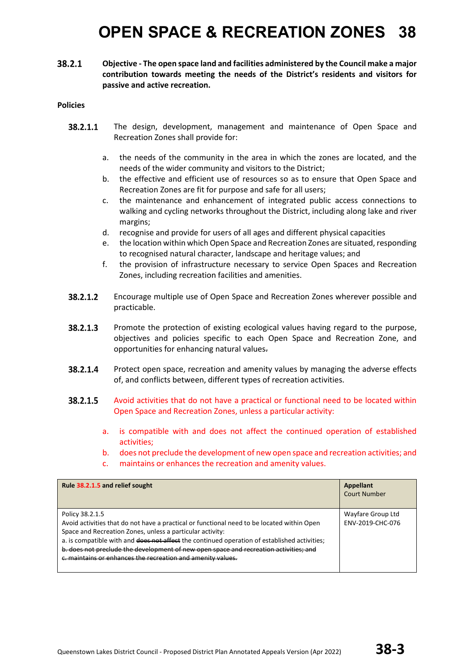38.2.1 **Objective - The open space land and facilities administered by the Council make a major contribution towards meeting the needs of the District's residents and visitors for passive and active recreation.** 

- 38.2.1.1 The design, development, management and maintenance of Open Space and Recreation Zones shall provide for:
	- a. the needs of the community in the area in which the zones are located, and the needs of the wider community and visitors to the District;
	- b. the effective and efficient use of resources so as to ensure that Open Space and Recreation Zones are fit for purpose and safe for all users;
	- c. the maintenance and enhancement of integrated public access connections to walking and cycling networks throughout the District, including along lake and river margins;
	- d. recognise and provide for users of all ages and different physical capacities
	- e. the location within which Open Space and Recreation Zones are situated, responding to recognised natural character, landscape and heritage values; and
	- f. the provision of infrastructure necessary to service Open Spaces and Recreation Zones, including recreation facilities and amenities.
- 38.2.1.2 Encourage multiple use of Open Space and Recreation Zones wherever possible and practicable.
- 38.2.1.3 Promote the protection of existing ecological values having regard to the purpose, objectives and policies specific to each Open Space and Recreation Zone, and opportunities for enhancing natural values.
- 38.2.1.4 Protect open space, recreation and amenity values by managing the adverse effects of, and conflicts between, different types of recreation activities.
- 38.2.1.5 Avoid activities that do not have a practical or functional need to be located within Open Space and Recreation Zones, unless a particular activity:
	- a. is compatible with and does not affect the continued operation of established activities;
	- b. does not preclude the development of new open space and recreation activities; and
	- c. maintains or enhances the recreation and amenity values.

| Rule 38.2.1.5 and relief sought                                                                                                                                                                                                                                                                                                                                                                                                    | Appellant<br><b>Court Number</b>      |
|------------------------------------------------------------------------------------------------------------------------------------------------------------------------------------------------------------------------------------------------------------------------------------------------------------------------------------------------------------------------------------------------------------------------------------|---------------------------------------|
| Policy 38.2.1.5<br>Avoid activities that do not have a practical or functional need to be located within Open<br>Space and Recreation Zones, unless a particular activity:<br>a. is compatible with and does not affect the continued operation of established activities;<br>b. does not preclude the development of new open space and recreation activities; and<br>e. maintains or enhances the recreation and amenity values. | Wayfare Group Ltd<br>ENV-2019-CHC-076 |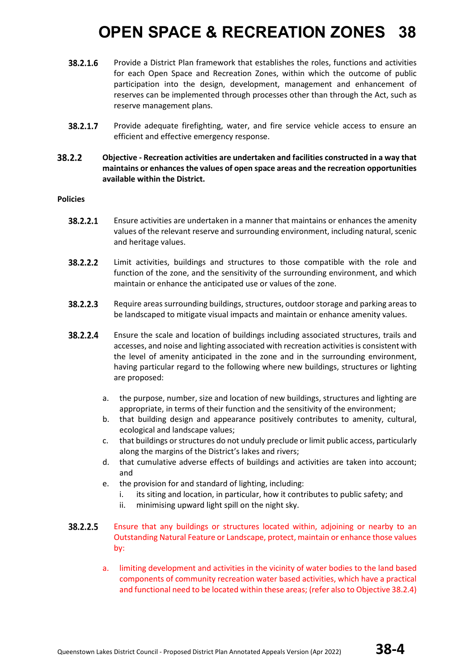- 38.2.1.6 Provide a District Plan framework that establishes the roles, functions and activities for each Open Space and Recreation Zones, within which the outcome of public participation into the design, development, management and enhancement of reserves can be implemented through processes other than through the Act, such as reserve management plans.
- 38.2.1.7 Provide adequate firefighting, water, and fire service vehicle access to ensure an efficient and effective emergency response.

#### 38.2.2 **Objective - Recreation activities are undertaken and facilities constructed in a way that maintains or enhances the values of open space areas and the recreation opportunities available within the District.**

- 38.2.2.1 Ensure activities are undertaken in a manner that maintains or enhances the amenity values of the relevant reserve and surrounding environment, including natural, scenic and heritage values.
- 38.2.2.2 Limit activities, buildings and structures to those compatible with the role and function of the zone, and the sensitivity of the surrounding environment, and which maintain or enhance the anticipated use or values of the zone.
- 38.2.2.3 Require areas surrounding buildings, structures, outdoor storage and parking areas to be landscaped to mitigate visual impacts and maintain or enhance amenity values.
- 38.2.2.4 Ensure the scale and location of buildings including associated structures, trails and accesses, and noise and lighting associated with recreation activities is consistent with the level of amenity anticipated in the zone and in the surrounding environment, having particular regard to the following where new buildings, structures or lighting are proposed:
	- a. the purpose, number, size and location of new buildings, structures and lighting are appropriate, in terms of their function and the sensitivity of the environment;
	- b. that building design and appearance positively contributes to amenity, cultural, ecological and landscape values;
	- c. that buildings or structures do not unduly preclude or limit public access, particularly along the margins of the District's lakes and rivers;
	- d. that cumulative adverse effects of buildings and activities are taken into account; and
	- e. the provision for and standard of lighting, including:
		- i. its siting and location, in particular, how it contributes to public safety; and
		- ii. minimising upward light spill on the night sky.
- 38.2.2.5 Ensure that any buildings or structures located within, adjoining or nearby to an Outstanding Natural Feature or Landscape, protect, maintain or enhance those values by:
	- a. limiting development and activities in the vicinity of water bodies to the land based components of community recreation water based activities, which have a practical and functional need to be located within these areas; (refer also to Objective 38.2.4)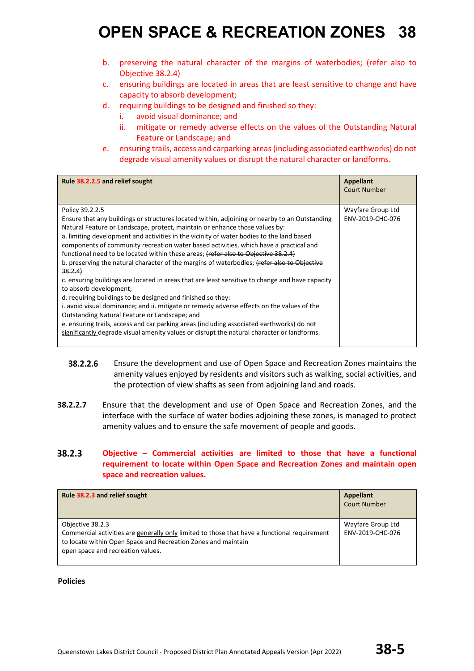- b. preserving the natural character of the margins of waterbodies; (refer also to Objective 38.2.4)
- c. ensuring buildings are located in areas that are least sensitive to change and have capacity to absorb development;
- d. requiring buildings to be designed and finished so they:
	- i. avoid visual dominance; and
	- ii. mitigate or remedy adverse effects on the values of the Outstanding Natural Feature or Landscape; and
- e. ensuring trails, access and carparking areas (including associated earthworks) do not degrade visual amenity values or disrupt the natural character or landforms.

| Rule 38.2.2.5 and relief sought                                                                                                                                                                                                                                                                                                                                                                                                                                                                                                                                                                                                                                                                                                                                                                                                                                                                                                                                                                                                                                                                                           | Appellant<br><b>Court Number</b>      |
|---------------------------------------------------------------------------------------------------------------------------------------------------------------------------------------------------------------------------------------------------------------------------------------------------------------------------------------------------------------------------------------------------------------------------------------------------------------------------------------------------------------------------------------------------------------------------------------------------------------------------------------------------------------------------------------------------------------------------------------------------------------------------------------------------------------------------------------------------------------------------------------------------------------------------------------------------------------------------------------------------------------------------------------------------------------------------------------------------------------------------|---------------------------------------|
| Policy 39.2.2.5<br>Ensure that any buildings or structures located within, adjoining or nearby to an Outstanding<br>Natural Feature or Landscape, protect, maintain or enhance those values by:<br>a. limiting development and activities in the vicinity of water bodies to the land based<br>components of community recreation water based activities, which have a practical and<br>functional need to be located within these areas; (refer also to Objective 38.2.4)<br>b. preserving the natural character of the margins of waterbodies; (refer also to Objective<br>38.2.4<br>c. ensuring buildings are located in areas that are least sensitive to change and have capacity<br>to absorb development;<br>d. requiring buildings to be designed and finished so they:<br>i. avoid visual dominance; and ii. mitigate or remedy adverse effects on the values of the<br>Outstanding Natural Feature or Landscape; and<br>e. ensuring trails, access and car parking areas (including associated earthworks) do not<br>significantly degrade visual amenity values or disrupt the natural character or landforms. | Wayfare Group Ltd<br>ENV-2019-CHC-076 |

- 38.2.2.6 Ensure the development and use of Open Space and Recreation Zones maintains the amenity values enjoyed by residents and visitors such as walking, social activities, and the protection of view shafts as seen from adjoining land and roads.
- **38.2.2.7** Ensure that the development and use of Open Space and Recreation Zones, and the interface with the surface of water bodies adjoining these zones, is managed to protect amenity values and to ensure the safe movement of people and goods.

#### 38.2.3 **Objective – Commercial activities are limited to those that have a functional requirement to locate within Open Space and Recreation Zones and maintain open space and recreation values.**

| Rule 38.2.3 and relief sought                                                                                                                                                                                          | Appellant<br><b>Court Number</b>      |
|------------------------------------------------------------------------------------------------------------------------------------------------------------------------------------------------------------------------|---------------------------------------|
| Objective 38.2.3<br>Commercial activities are generally only limited to those that have a functional requirement<br>to locate within Open Space and Recreation Zones and maintain<br>open space and recreation values. | Wayfare Group Ltd<br>ENV-2019-CHC-076 |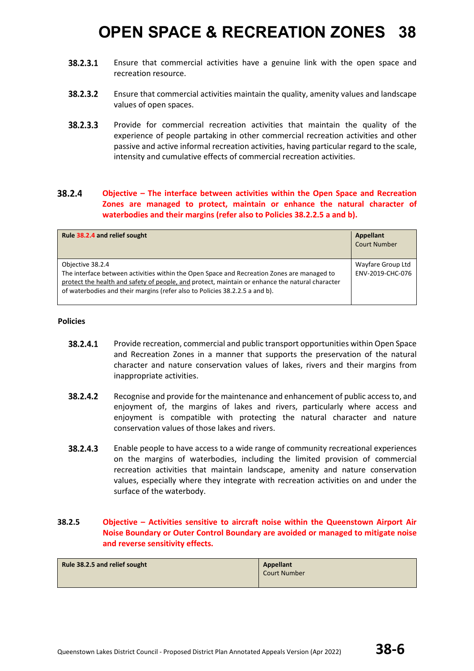- $38.2.3.1$ Ensure that commercial activities have a genuine link with the open space and recreation resource.
- 38.2.3.2 Ensure that commercial activities maintain the quality, amenity values and landscape values of open spaces.
- 38.2.3.3 Provide for commercial recreation activities that maintain the quality of the experience of people partaking in other commercial recreation activities and other passive and active informal recreation activities, having particular regard to the scale, intensity and cumulative effects of commercial recreation activities.

#### 38.2.4 **Objective – The interface between activities within the Open Space and Recreation Zones are managed to protect, maintain or enhance the natural character of waterbodies and their margins (refer also to Policies 38.2.2.5 a and b).**

| Rule 38.2.4 and relief sought                                                                                                                                                                                                                                                                    | Appellant<br><b>Court Number</b>      |
|--------------------------------------------------------------------------------------------------------------------------------------------------------------------------------------------------------------------------------------------------------------------------------------------------|---------------------------------------|
| Objective 38.2.4<br>The interface between activities within the Open Space and Recreation Zones are managed to<br>protect the health and safety of people, and protect, maintain or enhance the natural character<br>of waterbodies and their margins (refer also to Policies 38.2.2.5 a and b). | Wayfare Group Ltd<br>ENV-2019-CHC-076 |

#### **Policies**

- 38.2.4.1 Provide recreation, commercial and public transport opportunities within Open Space and Recreation Zones in a manner that supports the preservation of the natural character and nature conservation values of lakes, rivers and their margins from inappropriate activities.
- 38.2.4.2 Recognise and provide for the maintenance and enhancement of public access to, and enjoyment of, the margins of lakes and rivers, particularly where access and enjoyment is compatible with protecting the natural character and nature conservation values of those lakes and rivers.
- 38.2.4.3 Enable people to have access to a wide range of community recreational experiences on the margins of waterbodies, including the limited provision of commercial recreation activities that maintain landscape, amenity and nature conservation values, especially where they integrate with recreation activities on and under the surface of the waterbody.

#### **38.2.5 Objective – Activities sensitive to aircraft noise within the Queenstown Airport Air Noise Boundary or Outer Control Boundary are avoided or managed to mitigate noise and reverse sensitivity effects.**

| Rule 38.2.5 and relief sought | Appellant    |
|-------------------------------|--------------|
|                               | Court Number |
|                               |              |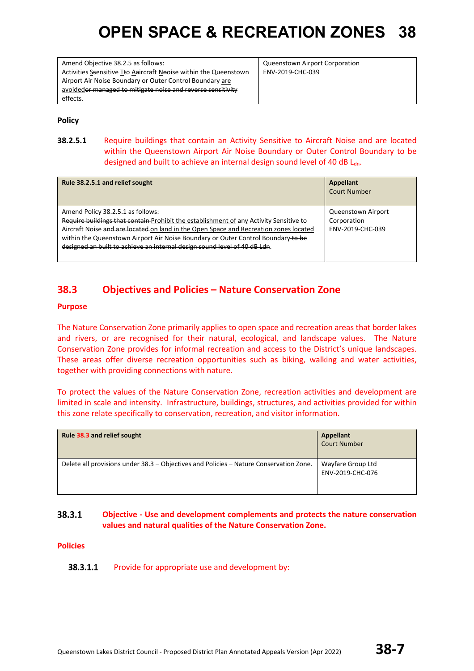Amend Objective 38.2.5 as follows: Activities Ssensitive Tto Aaircraft Nnoise within the Queenstown Airport Air Noise Boundary or Outer Control Boundary are avoidedor managed to mitigate noise and reverse sensitivity effects.

Queenstown Airport Corporation ENV-2019-CHC-039

**Policy**

**38.2.5.1** Require buildings that contain an Activity Sensitive to Aircraft Noise and are located within the Queenstown Airport Air Noise Boundary or Outer Control Boundary to be designed and built to achieve an internal design sound level of 40 dB Ldn.

| Rule 38.2.5.1 and relief sought                                                                                                                                                                                                                                                                                                                                                       | <b>Appellant</b><br><b>Court Number</b>               |
|---------------------------------------------------------------------------------------------------------------------------------------------------------------------------------------------------------------------------------------------------------------------------------------------------------------------------------------------------------------------------------------|-------------------------------------------------------|
| Amend Policy 38.2.5.1 as follows:<br>Require buildings that contain Prohibit the establishment of any Activity Sensitive to<br>Aircraft Noise and are located on land in the Open Space and Recreation zones located<br>within the Queenstown Airport Air Noise Boundary or Outer Control Boundary to be<br>designed an built to achieve an internal design sound level of 40 dB Ldn. | Queenstown Airport<br>Corporation<br>ENV-2019-CHC-039 |

#### **38.3 Objectives and Policies – Nature Conservation Zone**

#### **Purpose**

The Nature Conservation Zone primarily applies to open space and recreation areas that border lakes and rivers, or are recognised for their natural, ecological, and landscape values. The Nature Conservation Zone provides for informal recreation and access to the District's unique landscapes. These areas offer diverse recreation opportunities such as biking, walking and water activities, together with providing connections with nature.

To protect the values of the Nature Conservation Zone, recreation activities and development are limited in scale and intensity. Infrastructure, buildings, structures, and activities provided for within this zone relate specifically to conservation, recreation, and visitor information.

| Rule 38.3 and relief sought                                                            | Appellant<br><b>Court Number</b>      |
|----------------------------------------------------------------------------------------|---------------------------------------|
| Delete all provisions under 38.3 – Objectives and Policies – Nature Conservation Zone. | Wayfare Group Ltd<br>ENV-2019-CHC-076 |

#### 38.3.1 **Objective - Use and development complements and protects the nature conservation values and natural qualities of the Nature Conservation Zone.**

#### **Policies**

#### 38.3.1.1 Provide for appropriate use and development by: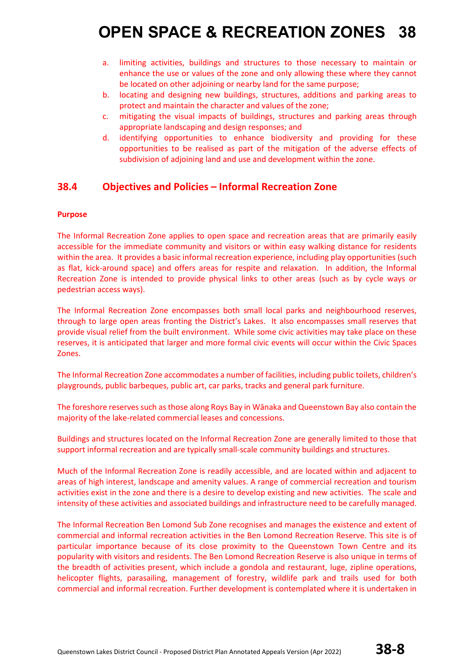- a. limiting activities, buildings and structures to those necessary to maintain or enhance the use or values of the zone and only allowing these where they cannot be located on other adjoining or nearby land for the same purpose;
- b. locating and designing new buildings, structures, additions and parking areas to protect and maintain the character and values of the zone;
- c. mitigating the visual impacts of buildings, structures and parking areas through appropriate landscaping and design responses; and
- d. identifying opportunities to enhance biodiversity and providing for these opportunities to be realised as part of the mitigation of the adverse effects of subdivision of adjoining land and use and development within the zone.

#### **38.4 Objectives and Policies – Informal Recreation Zone**

#### **Purpose**

The Informal Recreation Zone applies to open space and recreation areas that are primarily easily accessible for the immediate community and visitors or within easy walking distance for residents within the area. It provides a basic informal recreation experience, including play opportunities (such as flat, kick-around space) and offers areas for respite and relaxation. In addition, the Informal Recreation Zone is intended to provide physical links to other areas (such as by cycle ways or pedestrian access ways).

The Informal Recreation Zone encompasses both small local parks and neighbourhood reserves, through to large open areas fronting the District's Lakes. It also encompasses small reserves that provide visual relief from the built environment. While some civic activities may take place on these reserves, it is anticipated that larger and more formal civic events will occur within the Civic Spaces Zones.

The Informal Recreation Zone accommodates a number of facilities, including public toilets, children's playgrounds, public barbeques, public art, car parks, tracks and general park furniture.

The foreshore reserves such as those along Roys Bay in Wānaka and Queenstown Bay also contain the majority of the lake-related commercial leases and concessions.

Buildings and structures located on the Informal Recreation Zone are generally limited to those that support informal recreation and are typically small-scale community buildings and structures.

Much of the Informal Recreation Zone is readily accessible, and are located within and adjacent to areas of high interest, landscape and amenity values. A range of commercial recreation and tourism activities exist in the zone and there is a desire to develop existing and new activities. The scale and intensity of these activities and associated buildings and infrastructure need to be carefully managed.

The Informal Recreation Ben Lomond Sub Zone recognises and manages the existence and extent of commercial and informal recreation activities in the Ben Lomond Recreation Reserve. This site is of particular importance because of its close proximity to the Queenstown Town Centre and its popularity with visitors and residents. The Ben Lomond Recreation Reserve is also unique in terms of the breadth of activities present, which include a gondola and restaurant, luge, zipline operations, helicopter flights, parasailing, management of forestry, wildlife park and trails used for both commercial and informal recreation. Further development is contemplated where it is undertaken in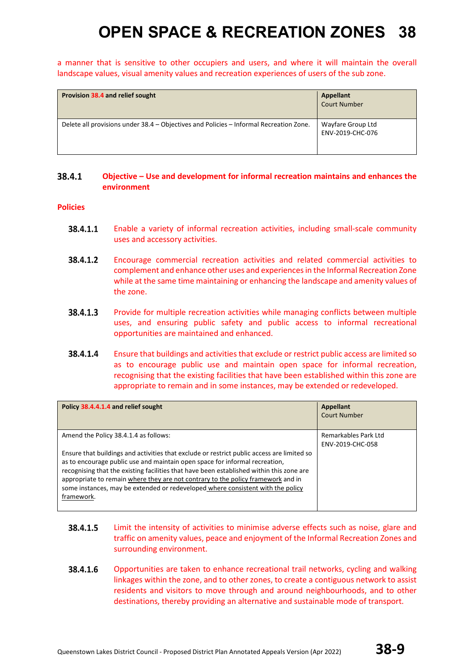a manner that is sensitive to other occupiers and users, and where it will maintain the overall landscape values, visual amenity values and recreation experiences of users of the sub zone.

| Provision 38.4 and relief sought                                                       | <b>Appellant</b><br><b>Court Number</b> |
|----------------------------------------------------------------------------------------|-----------------------------------------|
| Delete all provisions under 38.4 - Objectives and Policies - Informal Recreation Zone. | Wayfare Group Ltd<br>ENV-2019-CHC-076   |

#### 38.4.1 **Objective – Use and development for informal recreation maintains and enhances the environment**

- 38.4.1.1 Enable a variety of informal recreation activities, including small-scale community uses and accessory activities.
- 38.4.1.2 Encourage commercial recreation activities and related commercial activities to complement and enhance other uses and experiences in the Informal Recreation Zone while at the same time maintaining or enhancing the landscape and amenity values of the zone.
- 38.4.1.3 Provide for multiple recreation activities while managing conflicts between multiple uses, and ensuring public safety and public access to informal recreational opportunities are maintained and enhanced.
- 38.4.1.4 Ensure that buildings and activities that exclude or restrict public access are limited so as to encourage public use and maintain open space for informal recreation, recognising that the existing facilities that have been established within this zone are appropriate to remain and in some instances, may be extended or redeveloped.

| Policy 38.4.4.1.4 and relief sought                                                                                                                                                                                                                                                                                                                                                                                                                        | Appellant<br>Court Number                |
|------------------------------------------------------------------------------------------------------------------------------------------------------------------------------------------------------------------------------------------------------------------------------------------------------------------------------------------------------------------------------------------------------------------------------------------------------------|------------------------------------------|
| Amend the Policy 38.4.1.4 as follows:                                                                                                                                                                                                                                                                                                                                                                                                                      | Remarkables Park Ltd<br>ENV-2019-CHC-058 |
| Ensure that buildings and activities that exclude or restrict public access are limited so<br>as to encourage public use and maintain open space for informal recreation,<br>recognising that the existing facilities that have been established within this zone are<br>appropriate to remain where they are not contrary to the policy framework and in<br>some instances, may be extended or redeveloped where consistent with the policy<br>framework. |                                          |

- 38.4.1.5 Limit the intensity of activities to minimise adverse effects such as noise, glare and traffic on amenity values, peace and enjoyment of the Informal Recreation Zones and surrounding environment.
- 38.4.1.6 Opportunities are taken to enhance recreational trail networks, cycling and walking linkages within the zone, and to other zones, to create a contiguous network to assist residents and visitors to move through and around neighbourhoods, and to other destinations, thereby providing an alternative and sustainable mode of transport.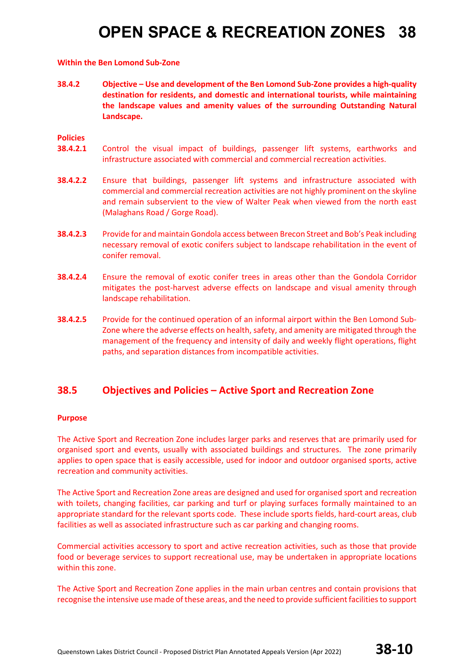#### **Within the Ben Lomond Sub-Zone**

**38.4.2 Objective – Use and development of the Ben Lomond Sub-Zone provides a high-quality destination for residents, and domestic and international tourists, while maintaining the landscape values and amenity values of the surrounding Outstanding Natural Landscape.**

#### **Policies**

- **38.4.2.1** Control the visual impact of buildings, passenger lift systems, earthworks and infrastructure associated with commercial and commercial recreation activities.
- **38.4.2.2** Ensure that buildings, passenger lift systems and infrastructure associated with commercial and commercial recreation activities are not highly prominent on the skyline and remain subservient to the view of Walter Peak when viewed from the north east (Malaghans Road / Gorge Road).
- **38.4.2.3** Provide for and maintain Gondola access between Brecon Street and Bob's Peak including necessary removal of exotic conifers subject to landscape rehabilitation in the event of conifer removal.
- **38.4.2.4** Ensure the removal of exotic conifer trees in areas other than the Gondola Corridor mitigates the post-harvest adverse effects on landscape and visual amenity through landscape rehabilitation.
- **38.4.2.5** Provide for the continued operation of an informal airport within the Ben Lomond Sub-Zone where the adverse effects on health, safety, and amenity are mitigated through the management of the frequency and intensity of daily and weekly flight operations, flight paths, and separation distances from incompatible activities.

#### **38.5 Objectives and Policies – Active Sport and Recreation Zone**

#### **Purpose**

The Active Sport and Recreation Zone includes larger parks and reserves that are primarily used for organised sport and events, usually with associated buildings and structures. The zone primarily applies to open space that is easily accessible, used for indoor and outdoor organised sports, active recreation and community activities.

The Active Sport and Recreation Zone areas are designed and used for organised sport and recreation with toilets, changing facilities, car parking and turf or playing surfaces formally maintained to an appropriate standard for the relevant sports code. These include sports fields, hard-court areas, club facilities as well as associated infrastructure such as car parking and changing rooms.

Commercial activities accessory to sport and active recreation activities, such as those that provide food or beverage services to support recreational use, may be undertaken in appropriate locations within this zone.

The Active Sport and Recreation Zone applies in the main urban centres and contain provisions that recognise the intensive use made of these areas, and the need to provide sufficient facilities to support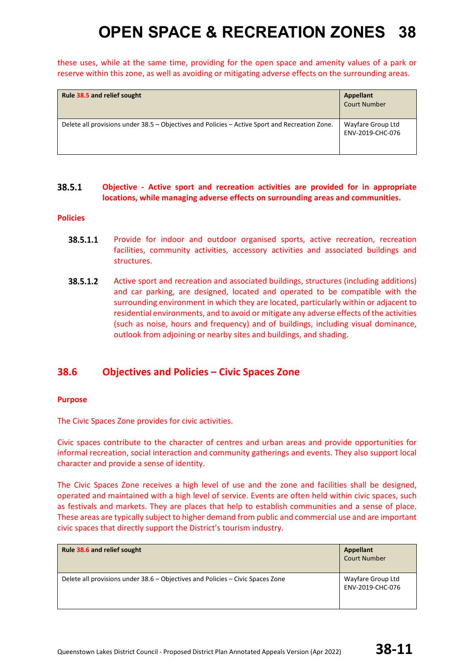these uses, while at the same time, providing for the open space and amenity values of a park or reserve within this zone, as well as avoiding or mitigating adverse effects on the surrounding areas.

| Rule 38.5 and relief sought                                                                    | <b>Appellant</b><br><b>Court Number</b> |
|------------------------------------------------------------------------------------------------|-----------------------------------------|
| Delete all provisions under 38.5 – Objectives and Policies – Active Sport and Recreation Zone. | Wayfare Group Ltd<br>ENV-2019-CHC-076   |

#### 38.5.1 **Objective - Active sport and recreation activities are provided for in appropriate locations, while managing adverse effects on surrounding areas and communities.**

#### **Policies**

- 38.5.1.1 Provide for indoor and outdoor organised sports, active recreation, recreation facilities, community activities, accessory activities and associated buildings and structures.
- 38.5.1.2 Active sport and recreation and associated buildings, structures (including additions) and car parking, are designed, located and operated to be compatible with the surrounding environment in which they are located, particularly within or adjacent to residential environments, and to avoid or mitigate any adverse effects of the activities (such as noise, hours and frequency) and of buildings, including visual dominance, outlook from adjoining or nearby sites and buildings, and shading.

#### **38.6 Objectives and Policies – Civic Spaces Zone**

#### **Purpose**

The Civic Spaces Zone provides for civic activities.

Civic spaces contribute to the character of centres and urban areas and provide opportunities for informal recreation, social interaction and community gatherings and events. They also support local character and provide a sense of identity.

The Civic Spaces Zone receives a high level of use and the zone and facilities shall be designed, operated and maintained with a high level of service. Events are often held within civic spaces, such as festivals and markets. They are places that help to establish communities and a sense of place. These areas are typically subject to higher demand from public and commercial use and are important civic spaces that directly support the District's tourism industry.

| Rule 38.6 and relief sought                                                    | Appellant<br><b>Court Number</b>      |
|--------------------------------------------------------------------------------|---------------------------------------|
| Delete all provisions under 38.6 – Objectives and Policies – Civic Spaces Zone | Wayfare Group Ltd<br>ENV-2019-CHC-076 |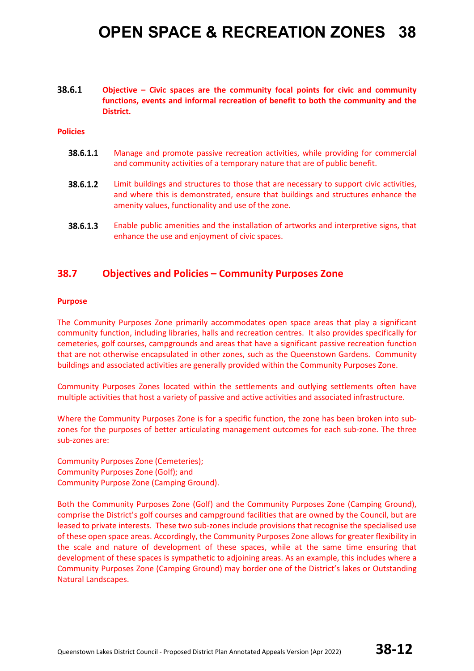38.6.1 **Objective – Civic spaces are the community focal points for civic and community functions, events and informal recreation of benefit to both the community and the District.**

#### **Policies**

- 38.6.1.1 Manage and promote passive recreation activities, while providing for commercial and community activities of a temporary nature that are of public benefit.
- 38.6.1.2 Limit buildings and structures to those that are necessary to support civic activities, and where this is demonstrated, ensure that buildings and structures enhance the amenity values, functionality and use of the zone.
- 38.6.1.3 Enable public amenities and the installation of artworks and interpretive signs, that enhance the use and enjoyment of civic spaces.

#### **38.7 Objectives and Policies – Community Purposes Zone**

#### **Purpose**

The Community Purposes Zone primarily accommodates open space areas that play a significant community function, including libraries, halls and recreation centres. It also provides specifically for cemeteries, golf courses, campgrounds and areas that have a significant passive recreation function that are not otherwise encapsulated in other zones, such as the Queenstown Gardens. Community buildings and associated activities are generally provided within the Community Purposes Zone.

Community Purposes Zones located within the settlements and outlying settlements often have multiple activities that host a variety of passive and active activities and associated infrastructure.

Where the Community Purposes Zone is for a specific function, the zone has been broken into subzones for the purposes of better articulating management outcomes for each sub-zone. The three sub-zones are:

Community Purposes Zone (Cemeteries); Community Purposes Zone (Golf); and Community Purpose Zone (Camping Ground).

Both the Community Purposes Zone (Golf) and the Community Purposes Zone (Camping Ground), comprise the District's golf courses and campground facilities that are owned by the Council, but are leased to private interests. These two sub-zones include provisions that recognise the specialised use of these open space areas. Accordingly, the Community Purposes Zone allows for greater flexibility in the scale and nature of development of these spaces, while at the same time ensuring that development of these spaces is sympathetic to adjoining areas. As an example, this includes where a Community Purposes Zone (Camping Ground) may border one of the District's lakes or Outstanding Natural Landscapes.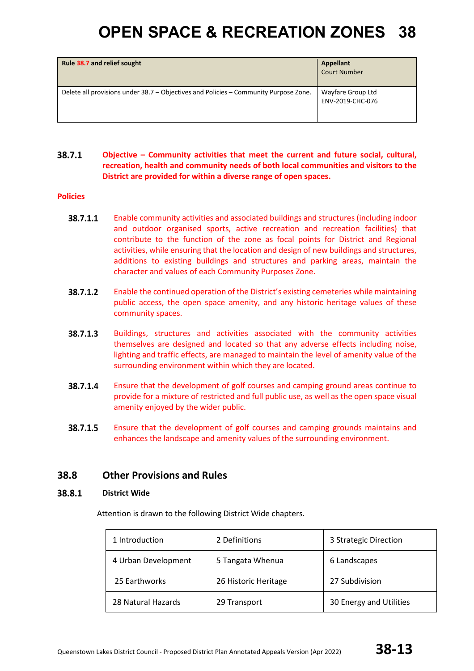| Rule 38.7 and relief sought                                                          | Appellant<br><b>Court Number</b>      |
|--------------------------------------------------------------------------------------|---------------------------------------|
| Delete all provisions under 38.7 – Objectives and Policies – Community Purpose Zone. | Wayfare Group Ltd<br>ENV-2019-CHC-076 |

#### 38.7.1 **Objective – Community activities that meet the current and future social, cultural, recreation, health and community needs of both local communities and visitors to the District are provided for within a diverse range of open spaces.**

#### **Policies**

- 38.7.1.1 Enable community activities and associated buildings and structures (including indoor and outdoor organised sports, active recreation and recreation facilities) that contribute to the function of the zone as focal points for District and Regional activities, while ensuring that the location and design of new buildings and structures, additions to existing buildings and structures and parking areas, maintain the character and values of each Community Purposes Zone.
- 38.7.1.2 Enable the continued operation of the District's existing cemeteries while maintaining public access, the open space amenity, and any historic heritage values of these community spaces.
- 38.7.1.3 Buildings, structures and activities associated with the community activities themselves are designed and located so that any adverse effects including noise, lighting and traffic effects, are managed to maintain the level of amenity value of the surrounding environment within which they are located.
- 38.7.1.4 Ensure that the development of golf courses and camping ground areas continue to provide for a mixture of restricted and full public use, as well as the open space visual amenity enjoyed by the wider public.
- 38.7.1.5 Ensure that the development of golf courses and camping grounds maintains and enhances the landscape and amenity values of the surrounding environment.

#### **38.8 Other Provisions and Rules**

#### 38.8.1 **District Wide**

Attention is drawn to the following District Wide chapters.

| 1 Introduction      | 2 Definitions        | 3 Strategic Direction   |
|---------------------|----------------------|-------------------------|
| 4 Urban Development | 5 Tangata Whenua     | 6 Landscapes            |
| 25 Earthworks       | 26 Historic Heritage | 27 Subdivision          |
| 28 Natural Hazards  | 29 Transport         | 30 Energy and Utilities |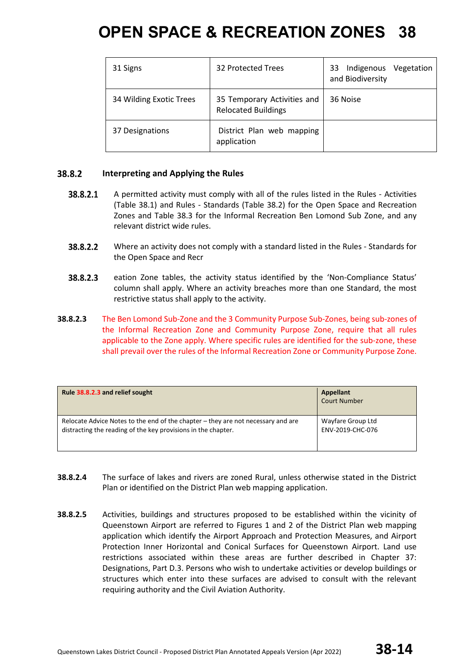| 31 Signs                | 32 Protected Trees                                        | Indigenous<br>Vegetation<br>33<br>and Biodiversity |
|-------------------------|-----------------------------------------------------------|----------------------------------------------------|
| 34 Wilding Exotic Trees | 35 Temporary Activities and<br><b>Relocated Buildings</b> | 36 Noise                                           |
| 37 Designations         | District Plan web mapping<br>application                  |                                                    |

#### 38.8.2 **Interpreting and Applying the Rules**

- 38.8.2.1 A permitted activity must comply with all of the rules listed in the Rules - Activities (Table 38.1) and Rules - Standards (Table 38.2) for the Open Space and Recreation Zones and Table 38.3 for the Informal Recreation Ben Lomond Sub Zone, and any relevant district wide rules.
- 38.8.2.2 Where an activity does not comply with a standard listed in the Rules - Standards for the Open Space and Recr
- 38.8.2.3 eation Zone tables, the activity status identified by the 'Non-Compliance Status' column shall apply. Where an activity breaches more than one Standard, the most restrictive status shall apply to the activity.
- **38.8.2.3** The Ben Lomond Sub-Zone and the 3 Community Purpose Sub-Zones, being sub-zones of the Informal Recreation Zone and Community Purpose Zone, require that all rules applicable to the Zone apply. Where specific rules are identified for the sub-zone, these shall prevail over the rules of the Informal Recreation Zone or Community Purpose Zone.

| Rule 38.8.2.3 and relief sought                                                  | Appellant<br><b>Court Number</b> |
|----------------------------------------------------------------------------------|----------------------------------|
| Relocate Advice Notes to the end of the chapter – they are not necessary and are | Wayfare Group Ltd                |
| distracting the reading of the key provisions in the chapter.                    | ENV-2019-CHC-076                 |

- **38.8.2.4** The surface of lakes and rivers are zoned Rural, unless otherwise stated in the District Plan or identified on the District Plan web mapping application.
- **38.8.2.5** Activities, buildings and structures proposed to be established within the vicinity of Queenstown Airport are referred to Figures 1 and 2 of the District Plan web mapping application which identify the Airport Approach and Protection Measures, and Airport Protection Inner Horizontal and Conical Surfaces for Queenstown Airport. Land use restrictions associated within these areas are further described in Chapter 37: Designations, Part D.3. Persons who wish to undertake activities or develop buildings or structures which enter into these surfaces are advised to consult with the relevant requiring authority and the Civil Aviation Authority.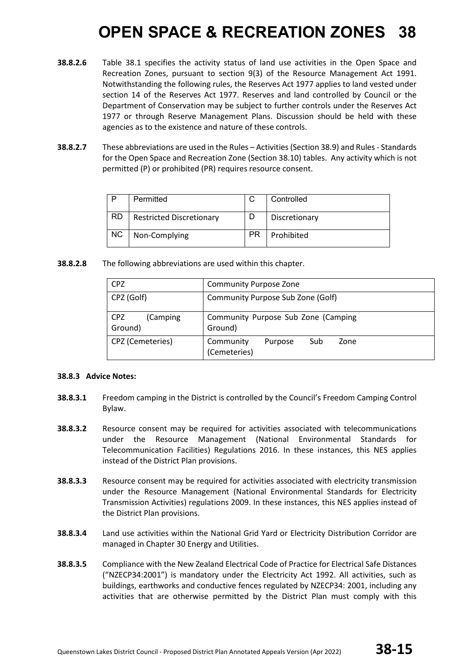- **38.8.2.6** Table 38.1 specifies the activity status of land use activities in the Open Space and Recreation Zones, pursuant to section 9(3) of the Resource Management Act 1991. Notwithstanding the following rules, the Reserves Act 1977 applies to land vested under section 14 of the Reserves Act 1977. Reserves and land controlled by Council or the Department of Conservation may be subject to further controls under the Reserves Act 1977 or through Reserve Management Plans. Discussion should be held with these agencies as to the existence and nature of these controls.
- **38.8.2.7** These abbreviations are used in the Rules Activities (Section 38.9) and Rules Standards for the Open Space and Recreation Zone (Section 38.10) tables. Any activity which is not permitted (P) or prohibited (PR) requires resource consent.

|           | Permitted                       |           | Controlled    |
|-----------|---------------------------------|-----------|---------------|
| <b>RD</b> | <b>Restricted Discretionary</b> |           | Discretionary |
| <b>NC</b> | Non-Complying                   | <b>PR</b> | Prohibited    |

**38.8.2.8** The following abbreviations are used within this chapter.

| <b>CPZ</b>                 | <b>Community Purpose Zone</b>                       |  |  |  |  |  |
|----------------------------|-----------------------------------------------------|--|--|--|--|--|
| CPZ (Golf)                 | Community Purpose Sub Zone (Golf)                   |  |  |  |  |  |
| CPZ<br>(Camping<br>Ground) | Community Purpose Sub Zone (Camping<br>Ground)      |  |  |  |  |  |
| CPZ (Cemeteries)           | Sub<br>Community<br>Purpose<br>Zone<br>(Cemeteries) |  |  |  |  |  |

#### **38.8.3 Advice Notes:**

- **38.8.3.1** Freedom camping in the District is controlled by the Council's Freedom Camping Control Bylaw.
- **38.8.3.2** Resource consent may be required for activities associated with telecommunications under the Resource Management (National Environmental Standards for Telecommunication Facilities) Regulations 2016. In these instances, this NES applies instead of the District Plan provisions.
- **38.8.3.3** Resource consent may be required for activities associated with electricity transmission under the Resource Management (National Environmental Standards for Electricity Transmission Activities) regulations 2009. In these instances, this NES applies instead of the District Plan provisions.
- **38.8.3.4** Land use activities within the National Grid Yard or Electricity Distribution Corridor are managed in Chapter 30 Energy and Utilities.
- **38.8.3.5** Compliance with the New Zealand Electrical Code of Practice for Electrical Safe Distances ("NZECP34:2001") is mandatory under the Electricity Act 1992. All activities, such as buildings, earthworks and conductive fences regulated by NZECP34: 2001, including any activities that are otherwise permitted by the District Plan must comply with this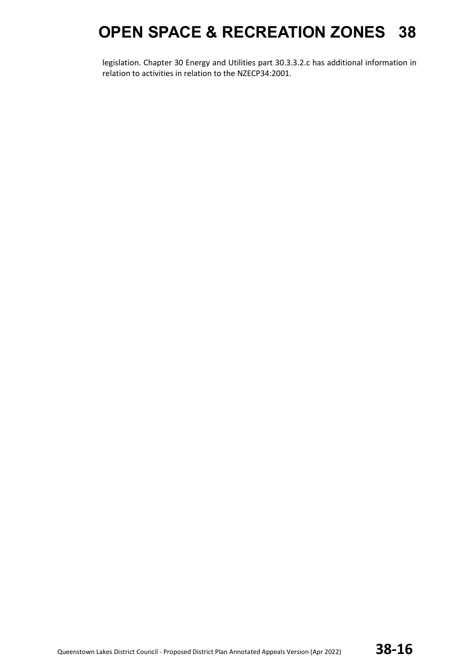legislation. Chapter 30 Energy and Utilities part 30.3.3.2.c has additional information in relation to activities in relation to the NZECP34:2001.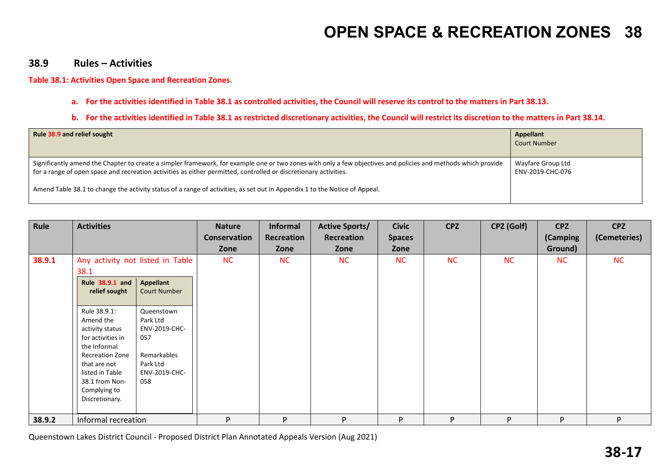#### **38.9 Rules – Activities**

#### **Table 38.1: Activities Open Space and Recreation Zones.**

**a. For the activities identified in Table 38.1 as controlled activities, the Council will reserve its control to the matters in Part 38.13.** 

#### **b.** For the activities identified in Table 38.1 as restricted discretionary activities, the Council will restrict its discretion to the matters in Part 38.14.

| Rule 38.9 and relief sought                                                                                                                                                                                                                                                       | Appellant<br><b>Court Number</b>      |
|-----------------------------------------------------------------------------------------------------------------------------------------------------------------------------------------------------------------------------------------------------------------------------------|---------------------------------------|
| Significantly amend the Chapter to create a simpler framework, for example one or two zones with only a few objectives and policies and methods which provide<br>for a range of open space and recreation activities as either permitted, controlled or discretionary activities. | Wayfare Group Ltd<br>ENV-2019-CHC-076 |
| Amend Table 38.1 to change the activity status of a range of activities, as set out in Appendix 1 to the Notice of Appeal.                                                                                                                                                        |                                       |

| Rule   | <b>Activities</b>                                                                                                                                                                                  |                                                                                                   | <b>Nature</b><br><b>Conservation</b><br>Zone | <b>Informal</b><br>Recreation<br>Zone | <b>Active Sports/</b><br>Recreation<br>Zone | <b>Civic</b><br><b>Spaces</b><br>Zone | <b>CPZ</b> | CPZ (Golf) | <b>CPZ</b><br>(Camping<br>Ground) | <b>CPZ</b><br>(Cemeteries) |
|--------|----------------------------------------------------------------------------------------------------------------------------------------------------------------------------------------------------|---------------------------------------------------------------------------------------------------|----------------------------------------------|---------------------------------------|---------------------------------------------|---------------------------------------|------------|------------|-----------------------------------|----------------------------|
| 38.9.1 | Any activity not listed in Table<br>38.1<br>Rule 38.9.1 and<br>relief sought                                                                                                                       | <b>Appellant</b><br><b>Court Number</b>                                                           | NC                                           | <b>NC</b>                             | NC                                          | <b>NC</b>                             | <b>NC</b>  | <b>NC</b>  | NC                                | NC                         |
|        | Rule 38.9.1:<br>Amend the<br>activity status<br>for activities in<br>the Informal<br><b>Recreation Zone</b><br>that are not<br>listed in Table<br>38.1 from Non-<br>Complying to<br>Discretionary. | Queenstown<br>Park Ltd<br>ENV-2019-CHC-<br>057<br>Remarkables<br>Park Ltd<br>ENV-2019-CHC-<br>058 |                                              |                                       |                                             |                                       |            |            |                                   |                            |
| 38.9.2 | Informal recreation                                                                                                                                                                                |                                                                                                   | P                                            | P                                     | P.                                          | P                                     | P          | P          | P                                 | P.                         |

Queenstown Lakes District Council - Proposed District Plan Annotated Appeals Version (Aug 2021)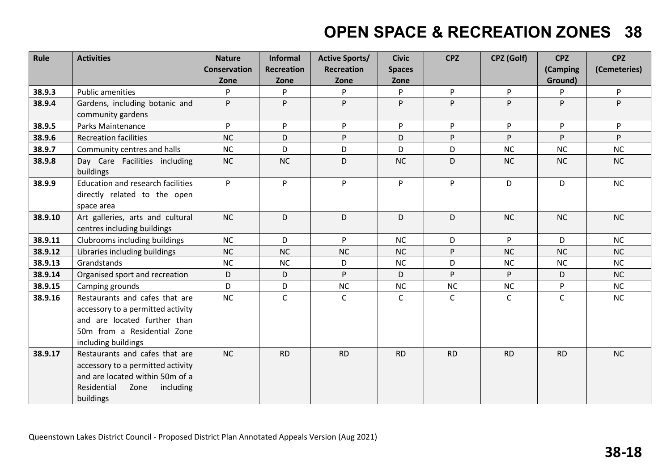| Rule    | <b>Activities</b>                                                                                                                                         | <b>Nature</b>       | <b>Informal</b>   | <b>Active Sports/</b> | <b>Civic</b>  | <b>CPZ</b>   | CPZ (Golf)   | <b>CPZ</b>  | <b>CPZ</b>   |
|---------|-----------------------------------------------------------------------------------------------------------------------------------------------------------|---------------------|-------------------|-----------------------|---------------|--------------|--------------|-------------|--------------|
|         |                                                                                                                                                           | <b>Conservation</b> | <b>Recreation</b> | <b>Recreation</b>     | <b>Spaces</b> |              |              | (Camping    | (Cemeteries) |
|         |                                                                                                                                                           | Zone                | Zone              | Zone                  | Zone          |              |              | Ground)     |              |
| 38.9.3  | <b>Public amenities</b>                                                                                                                                   | P                   | P                 | P                     | P             | P            | P            | P.          | P.           |
| 38.9.4  | Gardens, including botanic and<br>community gardens                                                                                                       | P                   | P                 | P                     | P             | P            | P            | P           | P            |
| 38.9.5  | Parks Maintenance                                                                                                                                         | P                   | P                 | P                     | P             | P.           | P            | P           | P            |
| 38.9.6  | <b>Recreation facilities</b>                                                                                                                              | <b>NC</b>           | D                 | P                     | D             | P            | P            | P           | P.           |
| 38.9.7  | Community centres and halls                                                                                                                               | <b>NC</b>           | D                 | D                     | D             | D            | <b>NC</b>    | <b>NC</b>   | NC           |
| 38.9.8  | Day Care Facilities including<br>buildings                                                                                                                | NC                  | <b>NC</b>         | D                     | <b>NC</b>     | D            | <b>NC</b>    | <b>NC</b>   | <b>NC</b>    |
| 38.9.9  | <b>Education and research facilities</b><br>directly related to the open<br>space area                                                                    | P                   | P                 | P                     | P             | P            | D            | D           | <b>NC</b>    |
| 38.9.10 | Art galleries, arts and cultural<br>centres including buildings                                                                                           | NC                  | D                 | D                     | D             | D            | NC           | <b>NC</b>   | NC           |
| 38.9.11 | Clubrooms including buildings                                                                                                                             | NC                  | D                 | P.                    | <b>NC</b>     | D            | P.           | D           | NC           |
| 38.9.12 | Libraries including buildings                                                                                                                             | <b>NC</b>           | <b>NC</b>         | NC                    | NC            | P            | NC           | NC          | NC           |
| 38.9.13 | Grandstands                                                                                                                                               | <b>NC</b>           | <b>NC</b>         | D                     | <b>NC</b>     | D            | NC           | <b>NC</b>   | NC           |
| 38.9.14 | Organised sport and recreation                                                                                                                            | D                   | D                 | P                     | D             | P            | P            | D           | NC           |
| 38.9.15 | Camping grounds                                                                                                                                           | D                   | D                 | NC                    | <b>NC</b>     | NC           | <b>NC</b>    | P           | <b>NC</b>    |
| 38.9.16 | Restaurants and cafes that are<br>accessory to a permitted activity<br>and are located further than<br>50m from a Residential Zone<br>including buildings | <b>NC</b>           | $\mathsf C$       | $\mathsf C$           | $\mathsf{C}$  | $\mathsf{C}$ | $\mathsf{C}$ | $\mathsf C$ | <b>NC</b>    |
| 38.9.17 | Restaurants and cafes that are<br>accessory to a permitted activity<br>and are located within 50m of a<br>Residential<br>Zone<br>including<br>buildings   | <b>NC</b>           | <b>RD</b>         | <b>RD</b>             | <b>RD</b>     | <b>RD</b>    | <b>RD</b>    | <b>RD</b>   | NC           |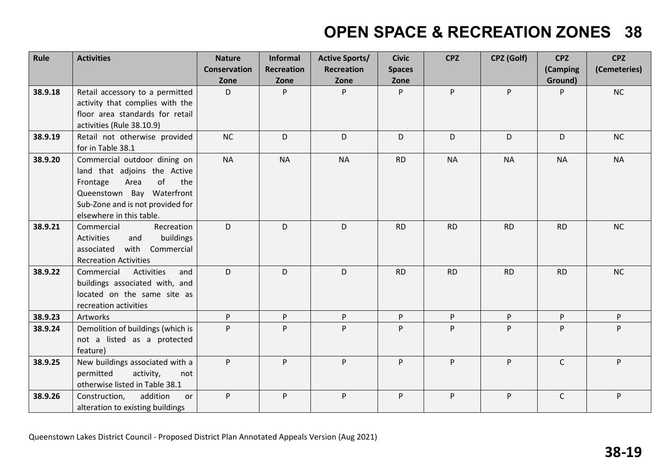| Rule    | <b>Activities</b>                 | <b>Nature</b>       | <b>Informal</b>   | <b>Active Sports/</b> | <b>Civic</b>  | <b>CPZ</b> | CPZ (Golf) | <b>CPZ</b>   | <b>CPZ</b>   |
|---------|-----------------------------------|---------------------|-------------------|-----------------------|---------------|------------|------------|--------------|--------------|
|         |                                   | <b>Conservation</b> | <b>Recreation</b> | <b>Recreation</b>     | <b>Spaces</b> |            |            | (Camping     | (Cemeteries) |
|         |                                   | Zone                | Zone              | Zone                  | Zone          |            |            | Ground)      |              |
| 38.9.18 | Retail accessory to a permitted   | D                   | P                 | P                     | P             | P          | P          | P            | <b>NC</b>    |
|         | activity that complies with the   |                     |                   |                       |               |            |            |              |              |
|         | floor area standards for retail   |                     |                   |                       |               |            |            |              |              |
|         | activities (Rule 38.10.9)         |                     |                   |                       |               |            |            |              |              |
| 38.9.19 | Retail not otherwise provided     | NC                  | D                 | D.                    | D             | D          | D          | D            | NC           |
|         | for in Table 38.1                 |                     |                   |                       |               |            |            |              |              |
| 38.9.20 | Commercial outdoor dining on      | <b>NA</b>           | <b>NA</b>         | <b>NA</b>             | <b>RD</b>     | <b>NA</b>  | <b>NA</b>  | <b>NA</b>    | <b>NA</b>    |
|         | land that adjoins the Active      |                     |                   |                       |               |            |            |              |              |
|         | of<br>the<br>Frontage<br>Area     |                     |                   |                       |               |            |            |              |              |
|         | Queenstown Bay Waterfront         |                     |                   |                       |               |            |            |              |              |
|         | Sub-Zone and is not provided for  |                     |                   |                       |               |            |            |              |              |
|         | elsewhere in this table.          |                     |                   |                       |               |            |            |              |              |
| 38.9.21 | Commercial<br>Recreation          | D                   | D                 | D                     | <b>RD</b>     | <b>RD</b>  | <b>RD</b>  | <b>RD</b>    | NC           |
|         | buildings<br>Activities<br>and    |                     |                   |                       |               |            |            |              |              |
|         | with Commercial<br>associated     |                     |                   |                       |               |            |            |              |              |
|         | <b>Recreation Activities</b>      |                     |                   |                       |               |            |            |              |              |
| 38.9.22 | Commercial<br>Activities<br>and   | D                   | D                 | D                     | <b>RD</b>     | <b>RD</b>  | <b>RD</b>  | <b>RD</b>    | NC           |
|         | buildings associated with, and    |                     |                   |                       |               |            |            |              |              |
|         | located on the same site as       |                     |                   |                       |               |            |            |              |              |
|         | recreation activities             |                     |                   |                       |               |            |            |              |              |
| 38.9.23 | Artworks                          | P.                  | P                 | P                     | P             | P          | P          | P            | P.           |
| 38.9.24 | Demolition of buildings (which is | P                   | P                 | P                     | P             | P.         | P          | P            | P            |
|         | not a listed as a protected       |                     |                   |                       |               |            |            |              |              |
|         | feature)                          |                     |                   |                       |               |            |            |              |              |
| 38.9.25 | New buildings associated with a   | P.                  | P                 | P.                    | P             | P          | P          | $\mathsf{C}$ | P.           |
|         | permitted<br>activity,<br>not     |                     |                   |                       |               |            |            |              |              |
|         | otherwise listed in Table 38.1    |                     |                   |                       |               |            |            |              |              |
| 38.9.26 | Construction,<br>addition<br>or   | P                   | P                 | P                     | P             | P          | P          | $\mathsf C$  | P            |
|         | alteration to existing buildings  |                     |                   |                       |               |            |            |              |              |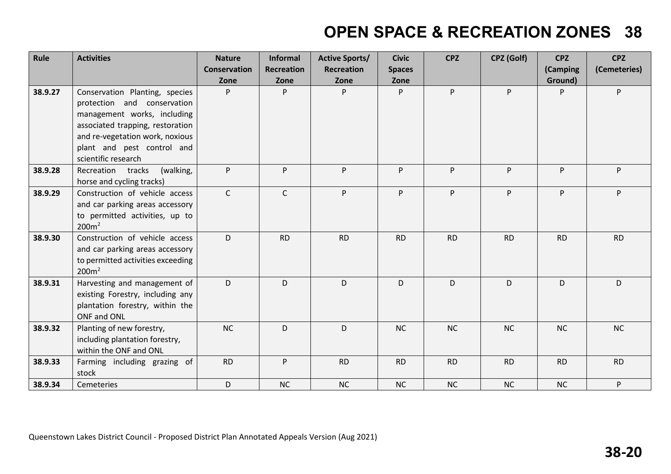| Rule    | <b>Activities</b>                                                                                                                                                                                                        | <b>Nature</b><br><b>Conservation</b><br>Zone | <b>Informal</b><br><b>Recreation</b><br>Zone | <b>Active Sports/</b><br><b>Recreation</b><br>Zone | <b>Civic</b><br><b>Spaces</b><br>Zone | <b>CPZ</b> | CPZ (Golf) | <b>CPZ</b><br>(Camping<br>Ground) | <b>CPZ</b><br>(Cemeteries) |
|---------|--------------------------------------------------------------------------------------------------------------------------------------------------------------------------------------------------------------------------|----------------------------------------------|----------------------------------------------|----------------------------------------------------|---------------------------------------|------------|------------|-----------------------------------|----------------------------|
| 38.9.27 | Conservation Planting, species<br>protection and conservation<br>management works, including<br>associated trapping, restoration<br>and re-vegetation work, noxious<br>plant and pest control and<br>scientific research | P                                            | P                                            | P                                                  | P                                     | P          | P          | P                                 | P.                         |
| 38.9.28 | (walking,<br>Recreation tracks<br>horse and cycling tracks)                                                                                                                                                              | P.                                           | P                                            | P.                                                 | P                                     | P          | P.         | P                                 | P.                         |
| 38.9.29 | Construction of vehicle access<br>and car parking areas accessory<br>to permitted activities, up to<br>200m <sup>2</sup>                                                                                                 | $\mathsf{C}$                                 | $\mathsf{C}$                                 | P.                                                 | P                                     | P          | P.         | P                                 | P.                         |
| 38.9.30 | Construction of vehicle access<br>and car parking areas accessory<br>to permitted activities exceeding<br>200m <sup>2</sup>                                                                                              | D.                                           | <b>RD</b>                                    | <b>RD</b>                                          | <b>RD</b>                             | <b>RD</b>  | <b>RD</b>  | <b>RD</b>                         | <b>RD</b>                  |
| 38.9.31 | Harvesting and management of<br>existing Forestry, including any<br>plantation forestry, within the<br>ONF and ONL                                                                                                       | D                                            | D                                            | D                                                  | D                                     | D          | D          | D                                 | D                          |
| 38.9.32 | Planting of new forestry,<br>including plantation forestry,<br>within the ONF and ONL                                                                                                                                    | NC                                           | D                                            | D                                                  | <b>NC</b>                             | NC         | NC         | <b>NC</b>                         | NC                         |
| 38.9.33 | Farming including grazing of<br>stock                                                                                                                                                                                    | <b>RD</b>                                    | P                                            | <b>RD</b>                                          | <b>RD</b>                             | <b>RD</b>  | <b>RD</b>  | <b>RD</b>                         | <b>RD</b>                  |
| 38.9.34 | Cemeteries                                                                                                                                                                                                               | D                                            | <b>NC</b>                                    | NC                                                 | NC                                    | NC         | NC         | NC                                | P                          |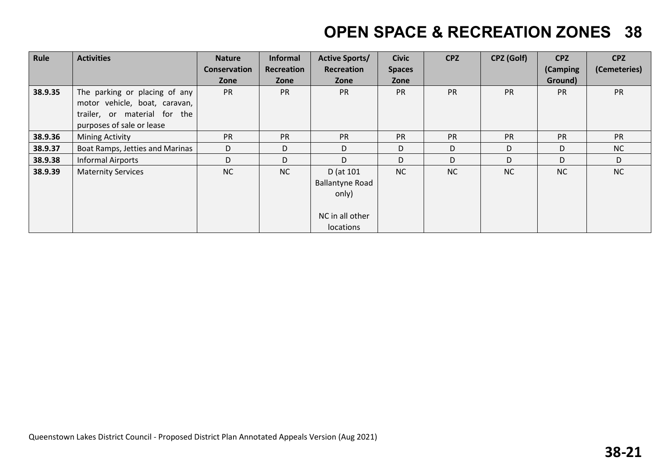| Rule    | <b>Activities</b>               | <b>Nature</b> | <b>Informal</b> | <b>Active Sports/</b>  | <b>Civic</b>  | <b>CPZ</b> | CPZ (Golf) | <b>CPZ</b> | <b>CPZ</b>   |
|---------|---------------------------------|---------------|-----------------|------------------------|---------------|------------|------------|------------|--------------|
|         |                                 | Conservation  | Recreation      | Recreation             | <b>Spaces</b> |            |            | (Camping   | (Cemeteries) |
|         |                                 | Zone          | Zone            | Zone                   | Zone          |            |            | Ground)    |              |
| 38.9.35 | The parking or placing of any   | <b>PR</b>     | <b>PR</b>       | <b>PR</b>              | <b>PR</b>     | <b>PR</b>  | <b>PR</b>  | <b>PR</b>  | <b>PR</b>    |
|         | motor vehicle, boat, caravan,   |               |                 |                        |               |            |            |            |              |
|         | trailer, or material for the    |               |                 |                        |               |            |            |            |              |
|         | purposes of sale or lease       |               |                 |                        |               |            |            |            |              |
| 38.9.36 | <b>Mining Activity</b>          | <b>PR</b>     | <b>PR</b>       | <b>PR</b>              | PR            | <b>PR</b>  | <b>PR</b>  | <b>PR</b>  | <b>PR</b>    |
| 38.9.37 | Boat Ramps, Jetties and Marinas | D             | D               | D                      | D             | D          | D          | D          | NC           |
| 38.9.38 | <b>Informal Airports</b>        | D             | D               | D                      | D             | D          | D          | D          | D            |
| 38.9.39 | <b>Maternity Services</b>       | NC            | <b>NC</b>       | D (at 101              | <b>NC</b>     | NC         | <b>NC</b>  | <b>NC</b>  | <b>NC</b>    |
|         |                                 |               |                 | <b>Ballantyne Road</b> |               |            |            |            |              |
|         |                                 |               |                 | only)                  |               |            |            |            |              |
|         |                                 |               |                 |                        |               |            |            |            |              |
|         |                                 |               |                 | NC in all other        |               |            |            |            |              |
|         |                                 |               |                 | locations              |               |            |            |            |              |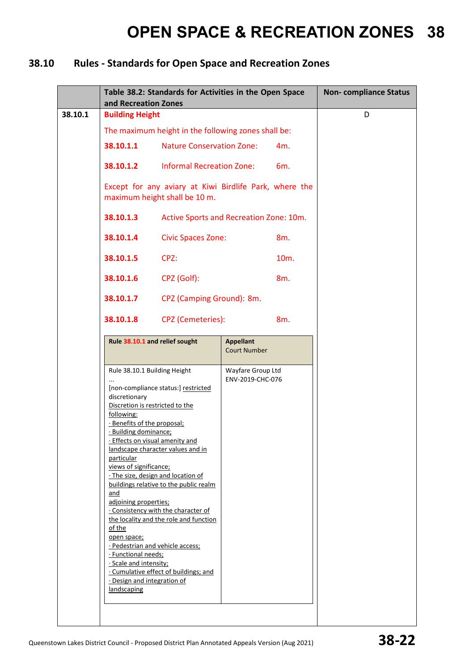### **38.10 Rules - Standards for Open Space and Recreation Zones**

|         | and Recreation Zones                                                                                                                                                                                                                                                                                           | Table 38.2: Standards for Activities in the Open Space                                                                                                                                                                                                                                                           |                                         |                   | <b>Non-compliance Status</b> |
|---------|----------------------------------------------------------------------------------------------------------------------------------------------------------------------------------------------------------------------------------------------------------------------------------------------------------------|------------------------------------------------------------------------------------------------------------------------------------------------------------------------------------------------------------------------------------------------------------------------------------------------------------------|-----------------------------------------|-------------------|------------------------------|
| 38.10.1 | <b>Building Height</b>                                                                                                                                                                                                                                                                                         |                                                                                                                                                                                                                                                                                                                  |                                         |                   | D                            |
|         |                                                                                                                                                                                                                                                                                                                | The maximum height in the following zones shall be:                                                                                                                                                                                                                                                              |                                         |                   |                              |
|         | 38.10.1.1                                                                                                                                                                                                                                                                                                      | <b>Nature Conservation Zone:</b>                                                                                                                                                                                                                                                                                 |                                         | 4m.               |                              |
|         | 38.10.1.2                                                                                                                                                                                                                                                                                                      | <b>Informal Recreation Zone:</b>                                                                                                                                                                                                                                                                                 |                                         | 6m.               |                              |
|         |                                                                                                                                                                                                                                                                                                                | Except for any aviary at Kiwi Birdlife Park, where the<br>maximum height shall be 10 m.                                                                                                                                                                                                                          |                                         |                   |                              |
|         | 38.10.1.3                                                                                                                                                                                                                                                                                                      | Active Sports and Recreation Zone: 10m.                                                                                                                                                                                                                                                                          |                                         |                   |                              |
|         | 38.10.1.4                                                                                                                                                                                                                                                                                                      | <b>Civic Spaces Zone:</b>                                                                                                                                                                                                                                                                                        |                                         | 8m.               |                              |
|         | 38.10.1.5                                                                                                                                                                                                                                                                                                      | CPZ:                                                                                                                                                                                                                                                                                                             |                                         | 10 <sub>m</sub> . |                              |
|         | 38.10.1.6                                                                                                                                                                                                                                                                                                      | CPZ (Golf):                                                                                                                                                                                                                                                                                                      |                                         | 8m.               |                              |
|         | 38.10.1.7                                                                                                                                                                                                                                                                                                      | CPZ (Camping Ground): 8m.                                                                                                                                                                                                                                                                                        |                                         |                   |                              |
|         | 38.10.1.8                                                                                                                                                                                                                                                                                                      | <b>CPZ</b> (Cemeteries):                                                                                                                                                                                                                                                                                         |                                         | 8m.               |                              |
|         |                                                                                                                                                                                                                                                                                                                | Rule 38.10.1 and relief sought                                                                                                                                                                                                                                                                                   | <b>Appellant</b><br><b>Court Number</b> |                   |                              |
|         | Rule 38.10.1 Building Height<br>discretionary<br>Discretion is restricted to the<br>following:<br>· Benefits of the proposal;<br>· Building dominance;<br>particular<br>views of significance;<br>and<br>adjoining properties;<br>of the<br>open space;<br>· Functional needs;<br>$\cdot$ Scale and intensity; | [non-compliance status:] restricted<br>· Effects on visual amenity and<br>landscape character values and in<br>· The size, design and location of<br>buildings relative to the public realm<br>· Consistency with the character of<br>the locality and the role and function<br>· Pedestrian and vehicle access; | Wayfare Group Ltd<br>ENV-2019-CHC-076   |                   |                              |
|         | · Design and integration of<br>landscaping                                                                                                                                                                                                                                                                     | . Cumulative effect of buildings; and                                                                                                                                                                                                                                                                            |                                         |                   |                              |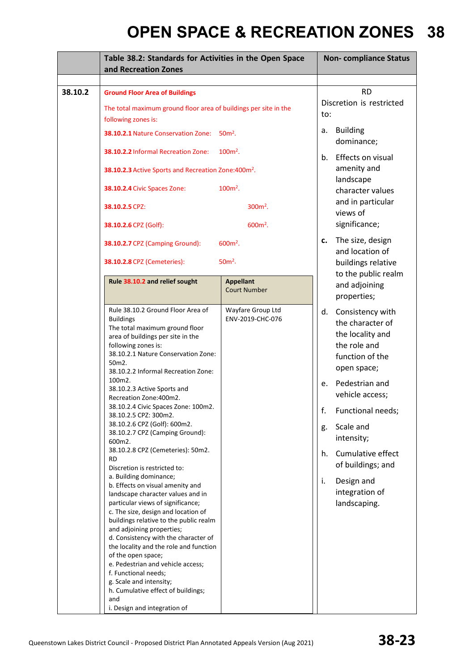|         | Table 38.2: Standards for Activities in the Open Space<br>and Recreation Zones                                                                                                                                                                                                                                                                                                          | <b>Non-compliance Status</b>                                                                                          |                                                                                                                  |
|---------|-----------------------------------------------------------------------------------------------------------------------------------------------------------------------------------------------------------------------------------------------------------------------------------------------------------------------------------------------------------------------------------------|-----------------------------------------------------------------------------------------------------------------------|------------------------------------------------------------------------------------------------------------------|
| 38.10.2 | <b>Ground Floor Area of Buildings</b><br>The total maximum ground floor area of buildings per site in the                                                                                                                                                                                                                                                                               |                                                                                                                       | <b>RD</b><br>Discretion is restricted                                                                            |
|         | following zones is:<br>38.10.2.1 Nature Conservation Zone:<br>$50m2$ .<br>38.10.2.2 Informal Recreation Zone:<br>$100m²$ .<br>38.10.2.3 Active Sports and Recreation Zone:400m <sup>2</sup> .<br>38.10.2.4 Civic Spaces Zone:<br>$100m²$ .                                                                                                                                              | to:<br><b>Building</b><br>а.<br>dominance;<br>Effects on visual<br>b.<br>amenity and<br>landscape<br>character values |                                                                                                                  |
|         | 38.10.2.5 CPZ:<br>38.10.2.6 CPZ (Golf):                                                                                                                                                                                                                                                                                                                                                 | $300m^2$ .<br>$600m^2$ .                                                                                              | and in particular<br>views of<br>significance;                                                                   |
|         | 38.10.2.7 CPZ (Camping Ground):<br>38.10.2.8 CPZ (Cemeteries):                                                                                                                                                                                                                                                                                                                          | $600m^2$ .<br>$50m²$ .                                                                                                | The size, design<br>c.<br>and location of<br>buildings relative<br>to the public realm                           |
|         | Rule 38.10.2 and relief sought                                                                                                                                                                                                                                                                                                                                                          | <b>Appellant</b><br><b>Court Number</b>                                                                               | and adjoining<br>properties;                                                                                     |
|         | Rule 38.10.2 Ground Floor Area of<br><b>Buildings</b><br>The total maximum ground floor<br>area of buildings per site in the<br>following zones is:<br>38.10.2.1 Nature Conservation Zone:<br>50m2.<br>38.10.2.2 Informal Recreation Zone:                                                                                                                                              | Wayfare Group Ltd<br>ENV-2019-CHC-076                                                                                 | Consistency with<br>d.<br>the character of<br>the locality and<br>the role and<br>function of the<br>open space; |
|         | 100m2.<br>38.10.2.3 Active Sports and<br>Recreation Zone: 400m2.<br>38.10.2.4 Civic Spaces Zone: 100m2.                                                                                                                                                                                                                                                                                 |                                                                                                                       | Pedestrian and<br>e.<br>vehicle access;                                                                          |
|         | 38.10.2.5 CPZ: 300m2.<br>38.10.2.6 CPZ (Golf): 600m2.<br>38.10.2.7 CPZ (Camping Ground):<br>600m2.                                                                                                                                                                                                                                                                                      |                                                                                                                       | f.<br>Functional needs;<br>Scale and<br>g.<br>intensity;                                                         |
|         | 38.10.2.8 CPZ (Cemeteries): 50m2.<br>RD<br>Discretion is restricted to:<br>a. Building dominance;<br>b. Effects on visual amenity and<br>landscape character values and in<br>particular views of significance;                                                                                                                                                                         |                                                                                                                       | Cumulative effect<br>h.<br>of buildings; and<br>Design and<br>i.<br>integration of<br>landscaping.               |
|         | c. The size, design and location of<br>buildings relative to the public realm<br>and adjoining properties;<br>d. Consistency with the character of<br>the locality and the role and function<br>of the open space;<br>e. Pedestrian and vehicle access;<br>f. Functional needs;<br>g. Scale and intensity;<br>h. Cumulative effect of buildings;<br>and<br>i. Design and integration of |                                                                                                                       |                                                                                                                  |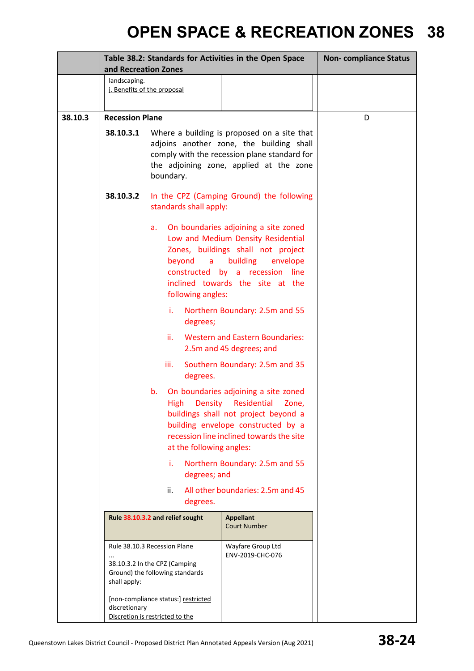|         | Table 38.2: Standards for Activities in the Open Space<br>and Recreation Zones |                                                                                                                                         |                                                                                                                                                                                                        | <b>Non-compliance Status</b> |
|---------|--------------------------------------------------------------------------------|-----------------------------------------------------------------------------------------------------------------------------------------|--------------------------------------------------------------------------------------------------------------------------------------------------------------------------------------------------------|------------------------------|
|         | landscaping.                                                                   | j. Benefits of the proposal                                                                                                             |                                                                                                                                                                                                        |                              |
| 38.10.3 | <b>Recession Plane</b>                                                         |                                                                                                                                         |                                                                                                                                                                                                        | D                            |
|         | 38.10.3.1                                                                      | boundary.                                                                                                                               | Where a building is proposed on a site that<br>adjoins another zone, the building shall<br>comply with the recession plane standard for<br>the adjoining zone, applied at the zone                     |                              |
|         | 38.10.3.2                                                                      | standards shall apply:                                                                                                                  | In the CPZ (Camping Ground) the following                                                                                                                                                              |                              |
|         |                                                                                | a.<br>beyond<br>a<br>constructed<br>following angles:                                                                                   | On boundaries adjoining a site zoned<br>Low and Medium Density Residential<br>Zones, buildings shall not project<br>building<br>envelope<br>by a recession<br>line<br>inclined towards the site at the |                              |
|         |                                                                                | i.<br>degrees;                                                                                                                          | Northern Boundary: 2.5m and 55                                                                                                                                                                         |                              |
|         |                                                                                | ii.                                                                                                                                     | <b>Western and Eastern Boundaries:</b><br>2.5m and 45 degrees; and                                                                                                                                     |                              |
|         |                                                                                | iii.<br>degrees.                                                                                                                        | Southern Boundary: 2.5m and 35                                                                                                                                                                         |                              |
|         |                                                                                | b.<br>Density<br>High<br>at the following angles:                                                                                       | On boundaries adjoining a site zoned<br>Residential<br>Zone.<br>buildings shall not project beyond a<br>building envelope constructed by a<br>recession line inclined towards the site                 |                              |
|         |                                                                                | i.<br>degrees; and                                                                                                                      | Northern Boundary: 2.5m and 55                                                                                                                                                                         |                              |
|         |                                                                                | ii.<br>degrees.                                                                                                                         | All other boundaries: 2.5m and 45                                                                                                                                                                      |                              |
|         |                                                                                | Rule 38.10.3.2 and relief sought                                                                                                        | <b>Appellant</b><br><b>Court Number</b>                                                                                                                                                                |                              |
|         | shall apply:                                                                   | Rule 38.10.3 Recession Plane<br>38.10.3.2 In the CPZ (Camping<br>Ground) the following standards<br>[non-compliance status:] restricted | Wayfare Group Ltd<br>ENV-2019-CHC-076                                                                                                                                                                  |                              |
|         | discretionary                                                                  | Discretion is restricted to the                                                                                                         |                                                                                                                                                                                                        |                              |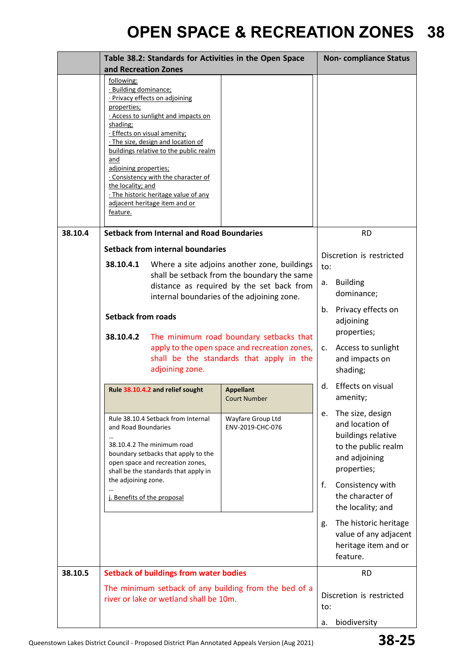|         | Table 38.2: Standards for Activities in the Open Space<br>and Recreation Zones                                                                                                                                                                                                                                                                                                                                                           |                                                                                                                                                                              | <b>Non-compliance Status</b>                                                                                           |  |
|---------|------------------------------------------------------------------------------------------------------------------------------------------------------------------------------------------------------------------------------------------------------------------------------------------------------------------------------------------------------------------------------------------------------------------------------------------|------------------------------------------------------------------------------------------------------------------------------------------------------------------------------|------------------------------------------------------------------------------------------------------------------------|--|
|         | following:<br>· Building dominance;<br>· Privacy effects on adjoining<br>properties;<br>. Access to sunlight and impacts on<br>shading;<br>· Effects on visual amenity;<br>· The size, design and location of<br>buildings relative to the public realm<br>and<br>adjoining properties;<br>. Consistency with the character of<br>the locality; and<br>. The historic heritage value of any<br>adjacent heritage item and or<br>feature. |                                                                                                                                                                              |                                                                                                                        |  |
| 38.10.4 | <b>Setback from Internal and Road Boundaries</b>                                                                                                                                                                                                                                                                                                                                                                                         | <b>RD</b>                                                                                                                                                                    |                                                                                                                        |  |
|         | <b>Setback from internal boundaries</b><br>38.10.4.1<br>Where a site adjoins another zone, buildings<br>shall be setback from the boundary the same<br>distance as required by the set back from<br>internal boundaries of the adjoining zone.<br><b>Setback from roads</b><br>38.10.4.2<br>The minimum road boundary setbacks that<br>apply to the open space and recreation zones,<br>shall be the standards that apply in the         | Discretion is restricted<br>to:<br><b>Building</b><br>а.<br>dominance;<br>Privacy effects on<br>b.<br>adjoining<br>properties;<br>Access to sunlight<br>C.<br>and impacts on |                                                                                                                        |  |
|         | adjoining zone.                                                                                                                                                                                                                                                                                                                                                                                                                          |                                                                                                                                                                              |                                                                                                                        |  |
|         | Rule 38.10.4.2 and relief sought                                                                                                                                                                                                                                                                                                                                                                                                         | <b>Appellant</b><br><b>Court Number</b>                                                                                                                                      | Effects on visual<br>d.<br>amenity;                                                                                    |  |
|         | Rule 38.10.4 Setback from Internal<br>Wayfare Group Ltd<br>and Road Boundaries<br>ENV-2019-CHC-076<br>38.10.4.2 The minimum road<br>boundary setbacks that apply to the<br>open space and recreation zones,<br>shall be the standards that apply in                                                                                                                                                                                      |                                                                                                                                                                              | The size, design<br>е.<br>and location of<br>buildings relative<br>to the public realm<br>and adjoining<br>properties; |  |
|         | the adjoining zone.<br>j. Benefits of the proposal                                                                                                                                                                                                                                                                                                                                                                                       |                                                                                                                                                                              | f.<br>Consistency with<br>the character of<br>the locality; and                                                        |  |
|         |                                                                                                                                                                                                                                                                                                                                                                                                                                          |                                                                                                                                                                              | The historic heritage<br>g.<br>value of any adjacent<br>heritage item and or<br>feature.                               |  |
| 38.10.5 | <b>Setback of buildings from water bodies</b>                                                                                                                                                                                                                                                                                                                                                                                            |                                                                                                                                                                              | <b>RD</b>                                                                                                              |  |
|         | The minimum setback of any building from the bed of a<br>river or lake or wetland shall be 10m.                                                                                                                                                                                                                                                                                                                                          |                                                                                                                                                                              | Discretion is restricted<br>to:                                                                                        |  |
|         |                                                                                                                                                                                                                                                                                                                                                                                                                                          |                                                                                                                                                                              | biodiversity<br>а.                                                                                                     |  |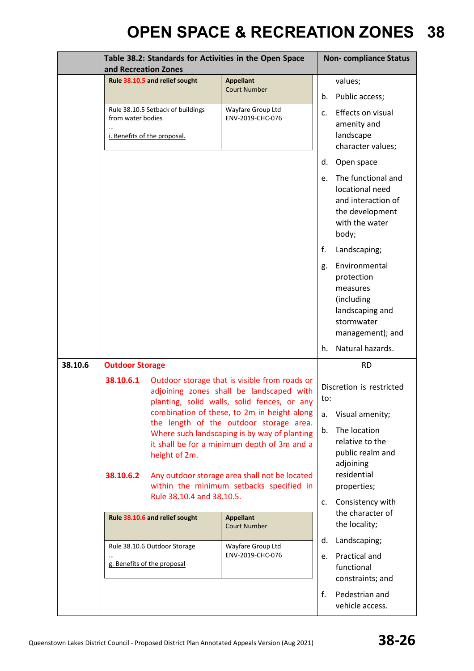|         |                                                                                        | Table 38.2: Standards for Activities in the Open Space<br>and Recreation Zones |                                                                                                                                                                                                                                                                                                                                                                                                                                |                 | <b>Non-compliance Status</b>                                                                                                                  |  |
|---------|----------------------------------------------------------------------------------------|--------------------------------------------------------------------------------|--------------------------------------------------------------------------------------------------------------------------------------------------------------------------------------------------------------------------------------------------------------------------------------------------------------------------------------------------------------------------------------------------------------------------------|-----------------|-----------------------------------------------------------------------------------------------------------------------------------------------|--|
|         |                                                                                        | Rule 38.10.5 and relief sought                                                 | <b>Appellant</b><br><b>Court Number</b>                                                                                                                                                                                                                                                                                                                                                                                        | b.              | values;<br>Public access;                                                                                                                     |  |
|         | Rule 38.10.5 Setback of buildings<br>from water bodies<br>i. Benefits of the proposal. |                                                                                | Wayfare Group Ltd<br>ENV-2019-CHC-076                                                                                                                                                                                                                                                                                                                                                                                          |                 | Effects on visual<br>amenity and<br>landscape<br>character values;                                                                            |  |
|         |                                                                                        |                                                                                |                                                                                                                                                                                                                                                                                                                                                                                                                                | d.              | Open space                                                                                                                                    |  |
|         |                                                                                        |                                                                                |                                                                                                                                                                                                                                                                                                                                                                                                                                | e.              | The functional and<br>locational need<br>and interaction of<br>the development<br>with the water<br>body;                                     |  |
|         |                                                                                        |                                                                                |                                                                                                                                                                                                                                                                                                                                                                                                                                | f.              | Landscaping;                                                                                                                                  |  |
|         |                                                                                        |                                                                                |                                                                                                                                                                                                                                                                                                                                                                                                                                | g.              | Environmental<br>protection<br>measures<br>(including<br>landscaping and<br>stormwater<br>management); and                                    |  |
|         |                                                                                        |                                                                                |                                                                                                                                                                                                                                                                                                                                                                                                                                | h.              | Natural hazards.                                                                                                                              |  |
| 38.10.6 | <b>Outdoor Storage</b>                                                                 |                                                                                |                                                                                                                                                                                                                                                                                                                                                                                                                                |                 | <b>RD</b>                                                                                                                                     |  |
|         | 38.10.6.1<br>38.10.6.2                                                                 | height of 2m.                                                                  | Outdoor storage that is visible from roads or<br>adjoining zones shall be landscaped with<br>planting, solid walls, solid fences, or any<br>combination of these, to 2m in height along<br>the length of the outdoor storage area.<br>Where such landscaping is by way of planting<br>it shall be for a minimum depth of 3m and a<br>Any outdoor storage area shall not be located<br>within the minimum setbacks specified in | to:<br>a.<br>b. | Discretion is restricted<br>Visual amenity;<br>The location<br>relative to the<br>public realm and<br>adjoining<br>residential<br>properties; |  |
|         |                                                                                        | Rule 38.10.4 and 38.10.5.                                                      |                                                                                                                                                                                                                                                                                                                                                                                                                                |                 | Consistency with<br>the character of                                                                                                          |  |
|         |                                                                                        | Rule 38.10.6 and relief sought<br><b>Appellant</b><br><b>Court Number</b>      |                                                                                                                                                                                                                                                                                                                                                                                                                                | d.              | the locality;                                                                                                                                 |  |
|         | Rule 38.10.6 Outdoor Storage<br>g. Benefits of the proposal                            |                                                                                | Wayfare Group Ltd<br>ENV-2019-CHC-076                                                                                                                                                                                                                                                                                                                                                                                          |                 | Landscaping;<br>Practical and<br>functional<br>constraints; and                                                                               |  |
|         |                                                                                        |                                                                                |                                                                                                                                                                                                                                                                                                                                                                                                                                | f.              | Pedestrian and<br>vehicle access.                                                                                                             |  |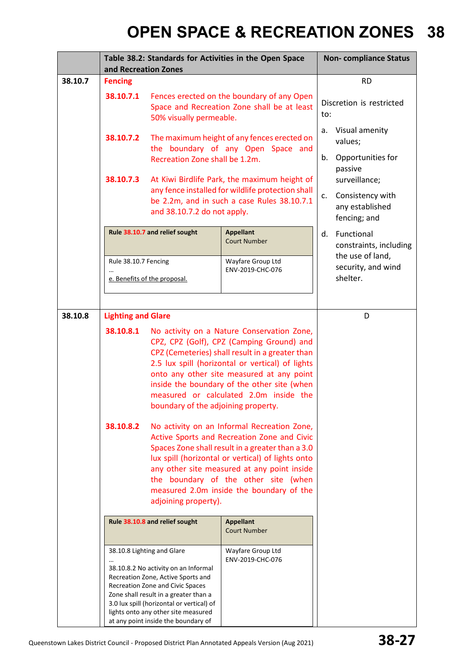|         | and Recreation Zones                                                      |                                                                                                                                                                                                                                                                                                                  | Table 38.2: Standards for Activities in the Open Space                                                                                                                                                                                                                                                                                 |          | <b>Non-compliance Status</b>                                                    |
|---------|---------------------------------------------------------------------------|------------------------------------------------------------------------------------------------------------------------------------------------------------------------------------------------------------------------------------------------------------------------------------------------------------------|----------------------------------------------------------------------------------------------------------------------------------------------------------------------------------------------------------------------------------------------------------------------------------------------------------------------------------------|----------|---------------------------------------------------------------------------------|
| 38.10.7 | <b>Fencing</b>                                                            |                                                                                                                                                                                                                                                                                                                  |                                                                                                                                                                                                                                                                                                                                        |          | <b>RD</b>                                                                       |
|         | 38.10.7.1                                                                 | 50% visually permeable.                                                                                                                                                                                                                                                                                          | Fences erected on the boundary of any Open<br>Space and Recreation Zone shall be at least                                                                                                                                                                                                                                              | to:      | Discretion is restricted                                                        |
|         | 38.10.7.2                                                                 | Recreation Zone shall be 1.2m.                                                                                                                                                                                                                                                                                   | The maximum height of any fences erected on<br>the boundary of any Open Space and                                                                                                                                                                                                                                                      | а.<br>b. | Visual amenity<br>values;<br>Opportunities for                                  |
|         | 38.10.7.3                                                                 | and 38.10.7.2 do not apply.                                                                                                                                                                                                                                                                                      | At Kiwi Birdlife Park, the maximum height of<br>any fence installed for wildlife protection shall<br>c.<br>be 2.2m, and in such a case Rules 38.10.7.1                                                                                                                                                                                 |          | passive<br>surveillance;<br>Consistency with<br>any established<br>fencing; and |
|         |                                                                           | Rule 38.10.7 and relief sought                                                                                                                                                                                                                                                                                   | <b>Appellant</b><br><b>Court Number</b>                                                                                                                                                                                                                                                                                                | d.       | Functional<br>constraints, including                                            |
|         | Rule 38.10.7 Fencing<br>e. Benefits of the proposal.                      |                                                                                                                                                                                                                                                                                                                  | Wayfare Group Ltd<br>ENV-2019-CHC-076                                                                                                                                                                                                                                                                                                  |          | the use of land,<br>security, and wind<br>shelter.                              |
|         |                                                                           |                                                                                                                                                                                                                                                                                                                  |                                                                                                                                                                                                                                                                                                                                        |          |                                                                                 |
| 38.10.8 | <b>Lighting and Glare</b>                                                 |                                                                                                                                                                                                                                                                                                                  |                                                                                                                                                                                                                                                                                                                                        |          | D                                                                               |
|         | 38.10.8.1<br>boundary of the adjoining property.                          |                                                                                                                                                                                                                                                                                                                  | No activity on a Nature Conservation Zone,<br>CPZ, CPZ (Golf), CPZ (Camping Ground) and<br>CPZ (Cemeteries) shall result in a greater than<br>2.5 lux spill (horizontal or vertical) of lights<br>onto any other site measured at any point<br>inside the boundary of the other site (when<br>measured or calculated 2.0m inside the   |          |                                                                                 |
|         | 38.10.8.2                                                                 | adjoining property).                                                                                                                                                                                                                                                                                             | No activity on an Informal Recreation Zone,<br>Active Sports and Recreation Zone and Civic<br>Spaces Zone shall result in a greater than a 3.0<br>lux spill (horizontal or vertical) of lights onto<br>any other site measured at any point inside<br>the boundary of the other site (when<br>measured 2.0m inside the boundary of the |          |                                                                                 |
|         | Rule 38.10.8 and relief sought<br><b>Appellant</b><br><b>Court Number</b> |                                                                                                                                                                                                                                                                                                                  |                                                                                                                                                                                                                                                                                                                                        |          |                                                                                 |
|         |                                                                           | 38.10.8 Lighting and Glare<br>38.10.8.2 No activity on an Informal<br>Recreation Zone, Active Sports and<br>Recreation Zone and Civic Spaces<br>Zone shall result in a greater than a<br>3.0 lux spill (horizontal or vertical) of<br>lights onto any other site measured<br>at any point inside the boundary of | Wayfare Group Ltd<br>ENV-2019-CHC-076                                                                                                                                                                                                                                                                                                  |          |                                                                                 |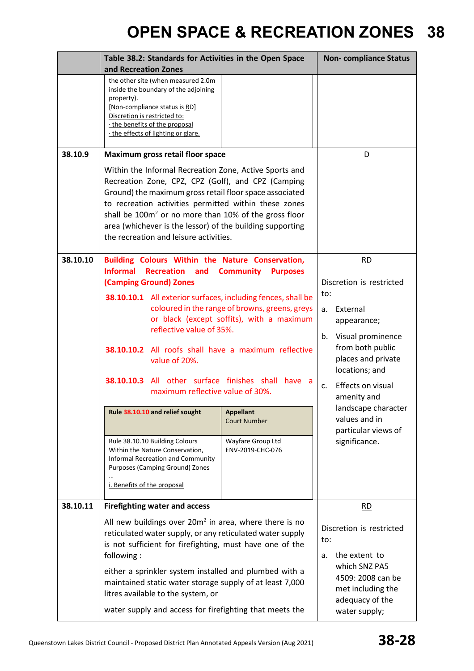|          | Table 38.2: Standards for Activities in the Open Space<br>and Recreation Zones                                                                                                                                                                                                                                                                                                                                                                                                                                                                          |                                                                                                                                                                                                                                  | <b>Non-compliance Status</b>                                                                                                                                                                                                                                                                  |
|----------|---------------------------------------------------------------------------------------------------------------------------------------------------------------------------------------------------------------------------------------------------------------------------------------------------------------------------------------------------------------------------------------------------------------------------------------------------------------------------------------------------------------------------------------------------------|----------------------------------------------------------------------------------------------------------------------------------------------------------------------------------------------------------------------------------|-----------------------------------------------------------------------------------------------------------------------------------------------------------------------------------------------------------------------------------------------------------------------------------------------|
|          | the other site (when measured 2.0m<br>inside the boundary of the adjoining<br>property).<br>[Non-compliance status is RD]<br>Discretion is restricted to:<br>. the benefits of the proposal<br>the effects of lighting or glare.                                                                                                                                                                                                                                                                                                                        |                                                                                                                                                                                                                                  |                                                                                                                                                                                                                                                                                               |
| 38.10.9  | Maximum gross retail floor space                                                                                                                                                                                                                                                                                                                                                                                                                                                                                                                        |                                                                                                                                                                                                                                  | D                                                                                                                                                                                                                                                                                             |
|          | Within the Informal Recreation Zone, Active Sports and<br>Recreation Zone, CPZ, CPZ (Golf), and CPZ (Camping<br>Ground) the maximum gross retail floor space associated<br>to recreation activities permitted within these zones<br>shall be 100m <sup>2</sup> or no more than 10% of the gross floor<br>area (whichever is the lessor) of the building supporting<br>the recreation and leisure activities.                                                                                                                                            |                                                                                                                                                                                                                                  |                                                                                                                                                                                                                                                                                               |
| 38.10.10 | Building Colours Within the Nature Conservation,                                                                                                                                                                                                                                                                                                                                                                                                                                                                                                        |                                                                                                                                                                                                                                  | <b>RD</b>                                                                                                                                                                                                                                                                                     |
|          | <b>Informal</b><br><b>Recreation</b> and<br>(Camping Ground) Zones<br>38.10.10.1 All exterior surfaces, including fences, shall be<br>reflective value of 35%.<br>38.10.10.2 All roofs shall have a maximum reflective<br>value of 20%.<br><b>38.10.10.3</b> All other surface finishes shall<br>maximum reflective value of 30%.<br>Rule 38.10.10 and relief sought<br>Rule 38.10.10 Building Colours<br>Within the Nature Conservation,<br><b>Informal Recreation and Community</b><br>Purposes (Camping Ground) Zones<br>i. Benefits of the proposal | <b>Community</b><br><b>Purposes</b><br>coloured in the range of browns, greens, greys<br>or black (except soffits), with a maximum<br>have a<br><b>Appellant</b><br><b>Court Number</b><br>Wayfare Group Ltd<br>ENV-2019-CHC-076 | Discretion is restricted<br>to:<br>External<br>a.<br>appearance;<br>Visual prominence<br>b.<br>from both public<br>places and private<br>locations; and<br>Effects on visual<br>C <sub>1</sub><br>amenity and<br>landscape character<br>values and in<br>particular views of<br>significance. |
| 38.10.11 | <b>Firefighting water and access</b>                                                                                                                                                                                                                                                                                                                                                                                                                                                                                                                    |                                                                                                                                                                                                                                  | <b>RD</b>                                                                                                                                                                                                                                                                                     |
|          | All new buildings over $20m^2$ in area, where there is no<br>reticulated water supply, or any reticulated water supply<br>is not sufficient for firefighting, must have one of the<br>following:<br>either a sprinkler system installed and plumbed with a<br>maintained static water storage supply of at least 7,000<br>litres available to the system, or<br>water supply and access for firefighting that meets the                                                                                                                                 |                                                                                                                                                                                                                                  | Discretion is restricted<br>to:<br>the extent to<br>a.<br>which SNZ PA5<br>4509: 2008 can be<br>met including the<br>adequacy of the<br>water supply;                                                                                                                                         |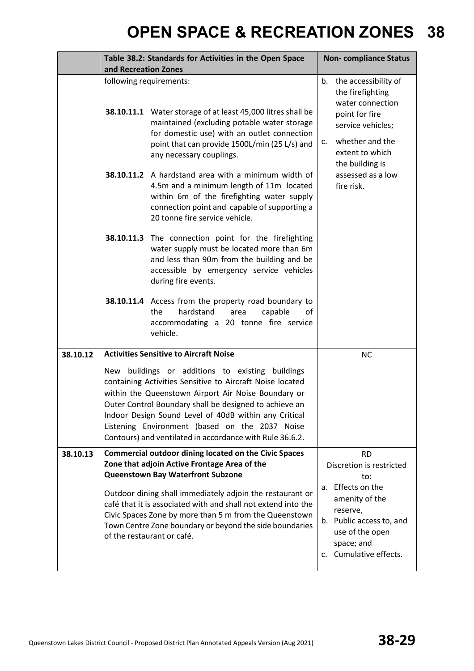|          | and Recreation Zones | Table 38.2: Standards for Activities in the Open Space                                                                                                                                                                                                                                                                                                                                                |          | <b>Non-compliance Status</b>                                                                                                                                 |
|----------|----------------------|-------------------------------------------------------------------------------------------------------------------------------------------------------------------------------------------------------------------------------------------------------------------------------------------------------------------------------------------------------------------------------------------------------|----------|--------------------------------------------------------------------------------------------------------------------------------------------------------------|
|          |                      | following requirements:<br>38.10.11.1 Water storage of at least 45,000 litres shall be<br>maintained (excluding potable water storage<br>for domestic use) with an outlet connection<br>point that can provide 1500L/min (25 L/s) and<br>any necessary couplings.                                                                                                                                     | b.<br>c. | the accessibility of<br>the firefighting<br>water connection<br>point for fire<br>service vehicles;<br>whether and the<br>extent to which<br>the building is |
|          |                      | 38.10.11.2 A hardstand area with a minimum width of<br>4.5m and a minimum length of 11m located<br>within 6m of the firefighting water supply<br>connection point and capable of supporting a<br>20 tonne fire service vehicle.                                                                                                                                                                       |          | assessed as a low<br>fire risk.                                                                                                                              |
|          |                      | 38.10.11.3 The connection point for the firefighting<br>water supply must be located more than 6m<br>and less than 90m from the building and be<br>accessible by emergency service vehicles<br>during fire events.                                                                                                                                                                                    |          |                                                                                                                                                              |
|          |                      | 38.10.11.4 Access from the property road boundary to<br>hardstand<br>the<br>capable<br>area<br>οf<br>accommodating a 20 tonne fire service<br>vehicle.                                                                                                                                                                                                                                                |          |                                                                                                                                                              |
| 38.10.12 |                      | <b>Activities Sensitive to Aircraft Noise</b>                                                                                                                                                                                                                                                                                                                                                         |          | <b>NC</b>                                                                                                                                                    |
|          |                      | New buildings or additions to existing buildings<br>containing Activities Sensitive to Aircraft Noise located<br>within the Queenstown Airport Air Noise Boundary or<br>Outer Control Boundary shall be designed to achieve an<br>Indoor Design Sound Level of 40dB within any Critical<br>Listening Environment (based on the 2037 Noise<br>Contours) and ventilated in accordance with Rule 36.6.2. |          |                                                                                                                                                              |
| 38.10.13 |                      | <b>Commercial outdoor dining located on the Civic Spaces</b><br>Zone that adjoin Active Frontage Area of the<br><b>Queenstown Bay Waterfront Subzone</b>                                                                                                                                                                                                                                              |          | <b>RD</b><br>Discretion is restricted<br>to:                                                                                                                 |
|          |                      | Outdoor dining shall immediately adjoin the restaurant or<br>café that it is associated with and shall not extend into the<br>Civic Spaces Zone by more than 5 m from the Queenstown<br>Town Centre Zone boundary or beyond the side boundaries<br>of the restaurant or café.                                                                                                                         | а.<br>C. | Effects on the<br>amenity of the<br>reserve,<br>b. Public access to, and<br>use of the open<br>space; and<br>Cumulative effects.                             |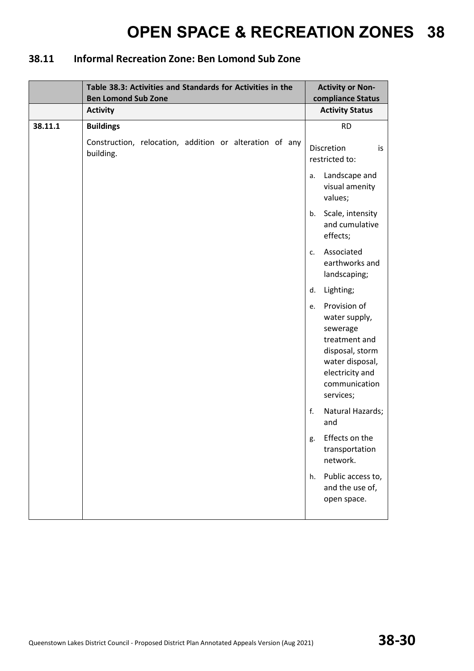### **38.11 Informal Recreation Zone: Ben Lomond Sub Zone**

|         | Table 38.3: Activities and Standards for Activities in the<br><b>Ben Lomond Sub Zone</b> | <b>Activity or Non-</b><br>compliance Status                                                                                                            |
|---------|------------------------------------------------------------------------------------------|---------------------------------------------------------------------------------------------------------------------------------------------------------|
|         | <b>Activity</b>                                                                          | <b>Activity Status</b>                                                                                                                                  |
| 38.11.1 | <b>Buildings</b>                                                                         | <b>RD</b>                                                                                                                                               |
|         | Construction, relocation, addition or alteration of any<br>building.                     | Discretion<br>is<br>restricted to:                                                                                                                      |
|         |                                                                                          | Landscape and<br>a.<br>visual amenity<br>values;                                                                                                        |
|         |                                                                                          | Scale, intensity<br>b.<br>and cumulative<br>effects;                                                                                                    |
|         |                                                                                          | Associated<br>$C_{1}$<br>earthworks and<br>landscaping;                                                                                                 |
|         |                                                                                          | Lighting;<br>d.                                                                                                                                         |
|         |                                                                                          | Provision of<br>e.<br>water supply,<br>sewerage<br>treatment and<br>disposal, storm<br>water disposal,<br>electricity and<br>communication<br>services; |
|         |                                                                                          | Natural Hazards;<br>f.<br>and                                                                                                                           |
|         |                                                                                          | Effects on the<br>g.<br>transportation<br>network.                                                                                                      |
|         |                                                                                          | Public access to,<br>h.<br>and the use of,<br>open space.                                                                                               |
|         |                                                                                          |                                                                                                                                                         |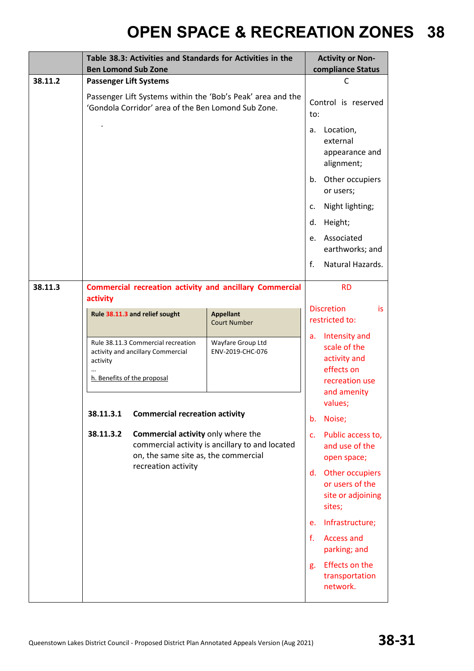|         | Table 38.3: Activities and Standards for Activities in the<br><b>Ben Lomond Sub Zone</b> |                                                                                                        |                                                                |                      | <b>Activity or Non-</b><br>compliance Status                                                            |
|---------|------------------------------------------------------------------------------------------|--------------------------------------------------------------------------------------------------------|----------------------------------------------------------------|----------------------|---------------------------------------------------------------------------------------------------------|
| 38.11.2 |                                                                                          | <b>Passenger Lift Systems</b>                                                                          |                                                                |                      | C                                                                                                       |
|         |                                                                                          | 'Gondola Corridor' area of the Ben Lomond Sub Zone.                                                    | Passenger Lift Systems within the 'Bob's Peak' area and the    | to:                  | Control is reserved                                                                                     |
|         |                                                                                          |                                                                                                        |                                                                | a.                   | Location,<br>external<br>appearance and<br>alignment;                                                   |
|         |                                                                                          |                                                                                                        |                                                                |                      | Other occupiers<br>or users;                                                                            |
|         |                                                                                          |                                                                                                        |                                                                | c.                   | Night lighting;                                                                                         |
|         |                                                                                          |                                                                                                        |                                                                | d.                   | Height;                                                                                                 |
|         |                                                                                          |                                                                                                        |                                                                | e.                   | Associated<br>earthworks; and                                                                           |
|         |                                                                                          |                                                                                                        |                                                                | f.                   | Natural Hazards.                                                                                        |
| 38.11.3 |                                                                                          |                                                                                                        | <b>Commercial recreation activity and ancillary Commercial</b> |                      | <b>RD</b>                                                                                               |
|         | activity                                                                                 |                                                                                                        |                                                                |                      | <b>Discretion</b><br>is                                                                                 |
|         |                                                                                          | Rule 38.11.3 and relief sought                                                                         | <b>Appellant</b><br><b>Court Number</b>                        |                      | restricted to:                                                                                          |
|         | activity                                                                                 | Rule 38.11.3 Commercial recreation<br>activity and ancillary Commercial<br>h. Benefits of the proposal | Wayfare Group Ltd<br>ENV-2019-CHC-076                          | a.                   | Intensity and<br>scale of the<br>activity and<br>effects on<br>recreation use<br>and amenity<br>values; |
|         | 38.11.3.1                                                                                | <b>Commercial recreation activity</b>                                                                  |                                                                | b.                   | Noise;                                                                                                  |
|         | 38.11.3.2                                                                                | Commercial activity only where the<br>on, the same site as, the commercial<br>recreation activity      | commercial activity is ancillary to and located                | $\mathsf{C}$ .<br>d. | Public access to,<br>and use of the<br>open space;<br>Other occupiers                                   |
|         |                                                                                          |                                                                                                        |                                                                |                      | or users of the<br>site or adjoining<br>sites;                                                          |
|         |                                                                                          |                                                                                                        |                                                                | e.                   | Infrastructure;                                                                                         |
|         |                                                                                          |                                                                                                        |                                                                | f.                   | <b>Access and</b><br>parking; and                                                                       |
|         |                                                                                          |                                                                                                        |                                                                | g.                   | <b>Effects on the</b><br>transportation<br>network.                                                     |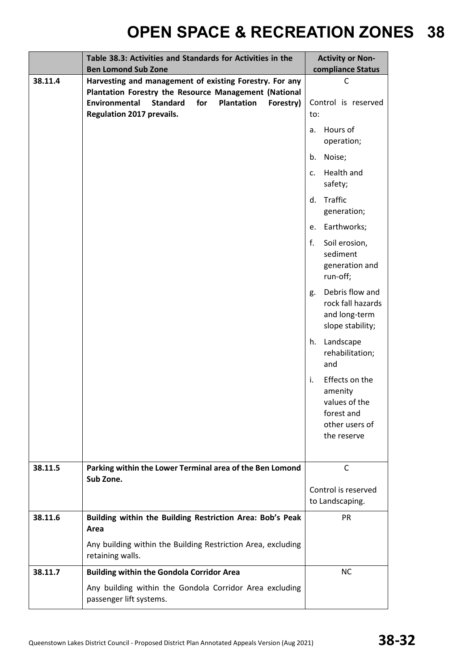|         | Table 38.3: Activities and Standards for Activities in the<br><b>Ben Lomond Sub Zone</b>                                                                                                                                          | <b>Activity or Non-</b><br>compliance Status                                                    |  |
|---------|-----------------------------------------------------------------------------------------------------------------------------------------------------------------------------------------------------------------------------------|-------------------------------------------------------------------------------------------------|--|
| 38.11.4 | Harvesting and management of existing Forestry. For any<br>Plantation Forestry the Resource Management (National<br>Environmental<br><b>Standard</b><br>for<br><b>Plantation</b><br>Forestry)<br><b>Regulation 2017 prevails.</b> | C<br>Control is reserved<br>to:                                                                 |  |
|         |                                                                                                                                                                                                                                   | Hours of<br>a.<br>operation;                                                                    |  |
|         |                                                                                                                                                                                                                                   | Noise;<br>b.                                                                                    |  |
|         |                                                                                                                                                                                                                                   | Health and<br>C <sub>1</sub><br>safety;                                                         |  |
|         |                                                                                                                                                                                                                                   | Traffic<br>d.<br>generation;                                                                    |  |
|         |                                                                                                                                                                                                                                   | Earthworks;<br>e.                                                                               |  |
|         |                                                                                                                                                                                                                                   | Soil erosion,<br>f.<br>sediment<br>generation and<br>run-off;                                   |  |
|         |                                                                                                                                                                                                                                   | Debris flow and<br>g.<br>rock fall hazards<br>and long-term<br>slope stability;                 |  |
|         |                                                                                                                                                                                                                                   | Landscape<br>h.<br>rehabilitation;<br>and                                                       |  |
|         |                                                                                                                                                                                                                                   | Effects on the<br>i.<br>amenity<br>values of the<br>forest and<br>other users of<br>the reserve |  |
| 38.11.5 | Parking within the Lower Terminal area of the Ben Lomond                                                                                                                                                                          | $\mathsf{C}$                                                                                    |  |
|         | Sub Zone.                                                                                                                                                                                                                         | Control is reserved<br>to Landscaping.                                                          |  |
| 38.11.6 | Building within the Building Restriction Area: Bob's Peak<br>Area                                                                                                                                                                 | PR                                                                                              |  |
|         | Any building within the Building Restriction Area, excluding<br>retaining walls.                                                                                                                                                  |                                                                                                 |  |
| 38.11.7 | <b>Building within the Gondola Corridor Area</b>                                                                                                                                                                                  | <b>NC</b>                                                                                       |  |
|         | Any building within the Gondola Corridor Area excluding<br>passenger lift systems.                                                                                                                                                |                                                                                                 |  |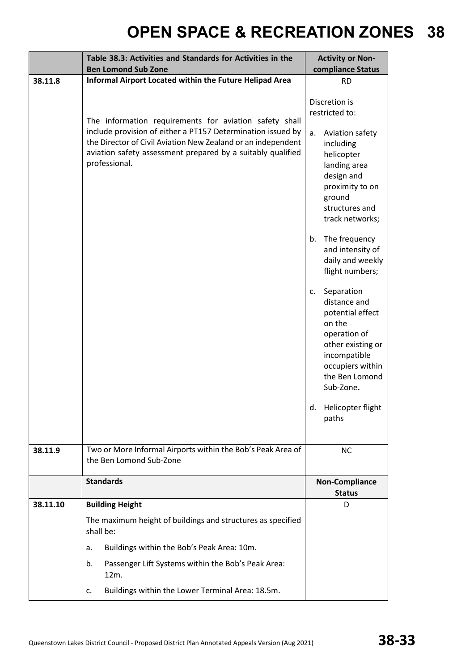|          | Table 38.3: Activities and Standards for Activities in the                                                                                                                                                  | <b>Activity or Non-</b>                                                                                                                                                |  |
|----------|-------------------------------------------------------------------------------------------------------------------------------------------------------------------------------------------------------------|------------------------------------------------------------------------------------------------------------------------------------------------------------------------|--|
| 38.11.8  | <b>Ben Lomond Sub Zone</b><br>Informal Airport Located within the Future Helipad Area                                                                                                                       | compliance Status                                                                                                                                                      |  |
|          | The information requirements for aviation safety shall                                                                                                                                                      | <b>RD</b><br>Discretion is<br>restricted to:                                                                                                                           |  |
|          | include provision of either a PT157 Determination issued by<br>the Director of Civil Aviation New Zealand or an independent<br>aviation safety assessment prepared by a suitably qualified<br>professional. | Aviation safety<br>a.<br>including<br>helicopter<br>landing area<br>design and<br>proximity to on<br>ground<br>structures and<br>track networks;                       |  |
|          |                                                                                                                                                                                                             | The frequency<br>b.<br>and intensity of<br>daily and weekly<br>flight numbers;                                                                                         |  |
|          |                                                                                                                                                                                                             | Separation<br>c.<br>distance and<br>potential effect<br>on the<br>operation of<br>other existing or<br>incompatible<br>occupiers within<br>the Ben Lomond<br>Sub-Zone. |  |
|          |                                                                                                                                                                                                             | d. Helicopter flight<br>paths                                                                                                                                          |  |
| 38.11.9  | Two or More Informal Airports within the Bob's Peak Area of<br>the Ben Lomond Sub-Zone                                                                                                                      | <b>NC</b>                                                                                                                                                              |  |
|          | <b>Standards</b>                                                                                                                                                                                            | <b>Non-Compliance</b><br><b>Status</b>                                                                                                                                 |  |
| 38.11.10 | <b>Building Height</b>                                                                                                                                                                                      | D                                                                                                                                                                      |  |
|          | The maximum height of buildings and structures as specified<br>shall be:                                                                                                                                    |                                                                                                                                                                        |  |
|          | Buildings within the Bob's Peak Area: 10m.<br>a.                                                                                                                                                            |                                                                                                                                                                        |  |
|          | Passenger Lift Systems within the Bob's Peak Area:<br>b.<br>12m.                                                                                                                                            |                                                                                                                                                                        |  |
|          | Buildings within the Lower Terminal Area: 18.5m.<br>c.                                                                                                                                                      |                                                                                                                                                                        |  |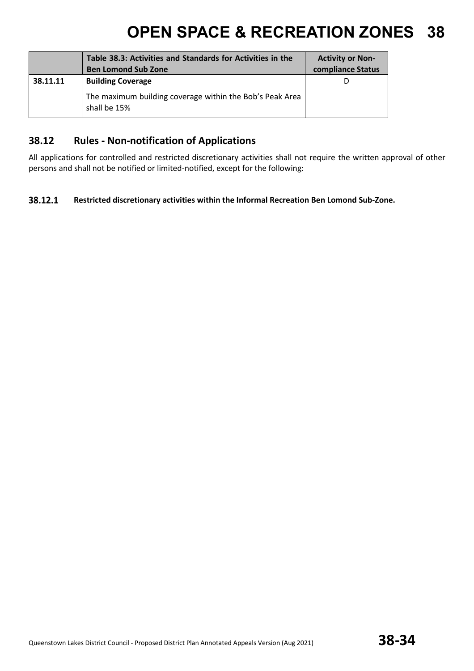|          | Table 38.3: Activities and Standards for Activities in the<br><b>Ben Lomond Sub Zone</b> | <b>Activity or Non-</b><br>compliance Status |
|----------|------------------------------------------------------------------------------------------|----------------------------------------------|
| 38.11.11 | <b>Building Coverage</b>                                                                 | D                                            |
|          | The maximum building coverage within the Bob's Peak Area<br>shall be 15%                 |                                              |

#### **38.12 Rules - Non-notification of Applications**

All applications for controlled and restricted discretionary activities shall not require the written approval of other persons and shall not be notified or limited-notified, except for the following:

#### 38.12.1 **Restricted discretionary activities within the Informal Recreation Ben Lomond Sub-Zone.**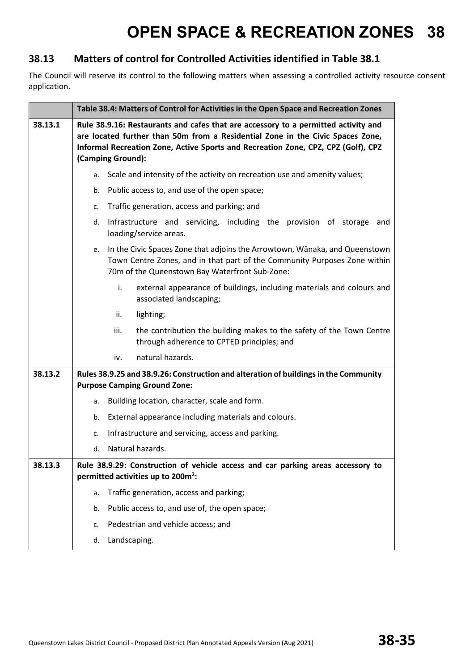### **38.13 Matters of control for Controlled Activities identified in Table 38.1**

The Council will reserve its control to the following matters when assessing a controlled activity resource consent application.

|         | Table 38.4: Matters of Control for Activities in the Open Space and Recreation Zones                                                                                                                                                                                           |                                                                                                                                   |                                                                                                                    |  |
|---------|--------------------------------------------------------------------------------------------------------------------------------------------------------------------------------------------------------------------------------------------------------------------------------|-----------------------------------------------------------------------------------------------------------------------------------|--------------------------------------------------------------------------------------------------------------------|--|
| 38.13.1 | Rule 38.9.16: Restaurants and cafes that are accessory to a permitted activity and<br>are located further than 50m from a Residential Zone in the Civic Spaces Zone,<br>Informal Recreation Zone, Active Sports and Recreation Zone, CPZ, CPZ (Golf), CPZ<br>(Camping Ground): |                                                                                                                                   |                                                                                                                    |  |
|         | a.                                                                                                                                                                                                                                                                             |                                                                                                                                   | Scale and intensity of the activity on recreation use and amenity values;                                          |  |
|         | b.                                                                                                                                                                                                                                                                             |                                                                                                                                   | Public access to, and use of the open space;                                                                       |  |
|         | c.                                                                                                                                                                                                                                                                             | Traffic generation, access and parking; and                                                                                       |                                                                                                                    |  |
|         | Infrastructure and servicing, including the provision of storage<br>d.<br>loading/service areas.                                                                                                                                                                               |                                                                                                                                   |                                                                                                                    |  |
|         | In the Civic Spaces Zone that adjoins the Arrowtown, Wānaka, and Queenstown<br>e.<br>Town Centre Zones, and in that part of the Community Purposes Zone within<br>70m of the Queenstown Bay Waterfront Sub-Zone:                                                               |                                                                                                                                   |                                                                                                                    |  |
|         | i.<br>external appearance of buildings, including materials and colours and<br>associated landscaping;                                                                                                                                                                         |                                                                                                                                   |                                                                                                                    |  |
|         |                                                                                                                                                                                                                                                                                | ii.                                                                                                                               | lighting;                                                                                                          |  |
|         |                                                                                                                                                                                                                                                                                | iii.                                                                                                                              | the contribution the building makes to the safety of the Town Centre<br>through adherence to CPTED principles; and |  |
|         |                                                                                                                                                                                                                                                                                | iv.                                                                                                                               | natural hazards.                                                                                                   |  |
| 38.13.2 |                                                                                                                                                                                                                                                                                | Rules 38.9.25 and 38.9.26: Construction and alteration of buildings in the Community<br><b>Purpose Camping Ground Zone:</b>       |                                                                                                                    |  |
|         | а.                                                                                                                                                                                                                                                                             |                                                                                                                                   | Building location, character, scale and form.                                                                      |  |
|         | b.                                                                                                                                                                                                                                                                             |                                                                                                                                   | External appearance including materials and colours.                                                               |  |
|         | c.                                                                                                                                                                                                                                                                             |                                                                                                                                   | Infrastructure and servicing, access and parking.                                                                  |  |
|         | Natural hazards.<br>d.                                                                                                                                                                                                                                                         |                                                                                                                                   |                                                                                                                    |  |
| 38.13.3 |                                                                                                                                                                                                                                                                                | Rule 38.9.29: Construction of vehicle access and car parking areas accessory to<br>permitted activities up to 200m <sup>2</sup> : |                                                                                                                    |  |
|         | a.                                                                                                                                                                                                                                                                             |                                                                                                                                   | Traffic generation, access and parking;                                                                            |  |
|         | b.                                                                                                                                                                                                                                                                             |                                                                                                                                   | Public access to, and use of, the open space;                                                                      |  |
|         | c.                                                                                                                                                                                                                                                                             |                                                                                                                                   | Pedestrian and vehicle access; and                                                                                 |  |
|         | d.                                                                                                                                                                                                                                                                             | Landscaping.                                                                                                                      |                                                                                                                    |  |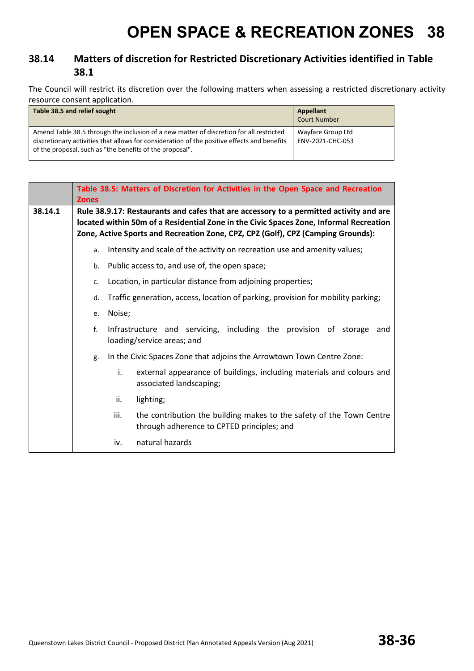### **38.14 Matters of discretion for Restricted Discretionary Activities identified in Table 38.1**

The Council will restrict its discretion over the following matters when assessing a restricted discretionary activity resource consent application.

| Table 38.5 and relief sought                                                                                                                                                                                                                       | Appellant<br><b>Court Number</b>      |
|----------------------------------------------------------------------------------------------------------------------------------------------------------------------------------------------------------------------------------------------------|---------------------------------------|
| Amend Table 38.5 through the inclusion of a new matter of discretion for all restricted<br>discretionary activities that allows for consideration of the positive effects and benefits<br>of the proposal, such as "the benefits of the proposal". | Wayfare Group Ltd<br>ENV-2021-CHC-053 |

|         | Table 38.5: Matters of Discretion for Activities in the Open Space and Recreation<br><b>Zones</b> |                                                                                                                                                                                                                                                                      |                                                                                                                    |  |  |
|---------|---------------------------------------------------------------------------------------------------|----------------------------------------------------------------------------------------------------------------------------------------------------------------------------------------------------------------------------------------------------------------------|--------------------------------------------------------------------------------------------------------------------|--|--|
| 38.14.1 |                                                                                                   | Rule 38.9.17: Restaurants and cafes that are accessory to a permitted activity and are<br>located within 50m of a Residential Zone in the Civic Spaces Zone, Informal Recreation<br>Zone, Active Sports and Recreation Zone, CPZ, CPZ (Golf), CPZ (Camping Grounds): |                                                                                                                    |  |  |
|         | a.                                                                                                |                                                                                                                                                                                                                                                                      | Intensity and scale of the activity on recreation use and amenity values;                                          |  |  |
|         | b.                                                                                                |                                                                                                                                                                                                                                                                      | Public access to, and use of, the open space;                                                                      |  |  |
|         | c.                                                                                                |                                                                                                                                                                                                                                                                      | Location, in particular distance from adjoining properties;                                                        |  |  |
|         | d.                                                                                                |                                                                                                                                                                                                                                                                      | Traffic generation, access, location of parking, provision for mobility parking;                                   |  |  |
|         | e.                                                                                                | Noise;                                                                                                                                                                                                                                                               |                                                                                                                    |  |  |
|         | f.                                                                                                |                                                                                                                                                                                                                                                                      | Infrastructure and servicing, including the provision of storage<br>and<br>loading/service areas; and              |  |  |
|         | g.                                                                                                |                                                                                                                                                                                                                                                                      | In the Civic Spaces Zone that adjoins the Arrowtown Town Centre Zone:                                              |  |  |
|         |                                                                                                   | i.                                                                                                                                                                                                                                                                   | external appearance of buildings, including materials and colours and<br>associated landscaping;                   |  |  |
|         |                                                                                                   | ii.                                                                                                                                                                                                                                                                  | lighting;                                                                                                          |  |  |
|         |                                                                                                   | iii.                                                                                                                                                                                                                                                                 | the contribution the building makes to the safety of the Town Centre<br>through adherence to CPTED principles; and |  |  |
|         |                                                                                                   | iv.                                                                                                                                                                                                                                                                  | natural hazards                                                                                                    |  |  |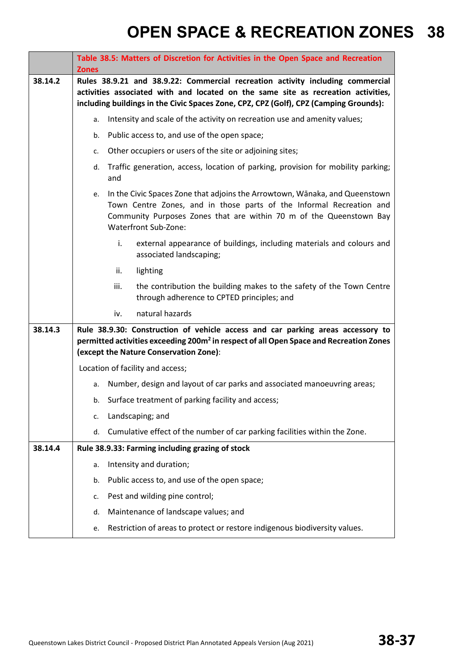|         | Table 38.5: Matters of Discretion for Activities in the Open Space and Recreation<br><b>Zones</b>                                                                                                                                                               |  |  |
|---------|-----------------------------------------------------------------------------------------------------------------------------------------------------------------------------------------------------------------------------------------------------------------|--|--|
| 38.14.2 | Rules 38.9.21 and 38.9.22: Commercial recreation activity including commercial<br>activities associated with and located on the same site as recreation activities,<br>including buildings in the Civic Spaces Zone, CPZ, CPZ (Golf), CPZ (Camping Grounds):    |  |  |
|         | Intensity and scale of the activity on recreation use and amenity values;<br>a.                                                                                                                                                                                 |  |  |
|         | Public access to, and use of the open space;<br>b.                                                                                                                                                                                                              |  |  |
|         | Other occupiers or users of the site or adjoining sites;<br>c.                                                                                                                                                                                                  |  |  |
|         | Traffic generation, access, location of parking, provision for mobility parking;<br>d.<br>and                                                                                                                                                                   |  |  |
|         | In the Civic Spaces Zone that adjoins the Arrowtown, Wānaka, and Queenstown<br>e.<br>Town Centre Zones, and in those parts of the Informal Recreation and<br>Community Purposes Zones that are within 70 m of the Queenstown Bay<br><b>Waterfront Sub-Zone:</b> |  |  |
|         | i.<br>external appearance of buildings, including materials and colours and<br>associated landscaping;                                                                                                                                                          |  |  |
|         | lighting<br>ii.                                                                                                                                                                                                                                                 |  |  |
|         | the contribution the building makes to the safety of the Town Centre<br>iii.<br>through adherence to CPTED principles; and                                                                                                                                      |  |  |
|         | natural hazards<br>iv.                                                                                                                                                                                                                                          |  |  |
| 38.14.3 | Rule 38.9.30: Construction of vehicle access and car parking areas accessory to<br>permitted activities exceeding 200m <sup>2</sup> in respect of all Open Space and Recreation Zones<br>(except the Nature Conservation Zone):                                 |  |  |
|         | Location of facility and access;                                                                                                                                                                                                                                |  |  |
|         | Number, design and layout of car parks and associated manoeuvring areas;<br>a.                                                                                                                                                                                  |  |  |
|         | b. Surface treatment of parking facility and access;                                                                                                                                                                                                            |  |  |
|         | Landscaping; and<br>c.                                                                                                                                                                                                                                          |  |  |
|         | Cumulative effect of the number of car parking facilities within the Zone.<br>d.                                                                                                                                                                                |  |  |
| 38.14.4 | Rule 38.9.33: Farming including grazing of stock                                                                                                                                                                                                                |  |  |
|         | Intensity and duration;<br>a.                                                                                                                                                                                                                                   |  |  |
|         | Public access to, and use of the open space;<br>b.                                                                                                                                                                                                              |  |  |
|         | Pest and wilding pine control;<br>c.                                                                                                                                                                                                                            |  |  |
|         | Maintenance of landscape values; and<br>d.                                                                                                                                                                                                                      |  |  |
|         | Restriction of areas to protect or restore indigenous biodiversity values.<br>e.                                                                                                                                                                                |  |  |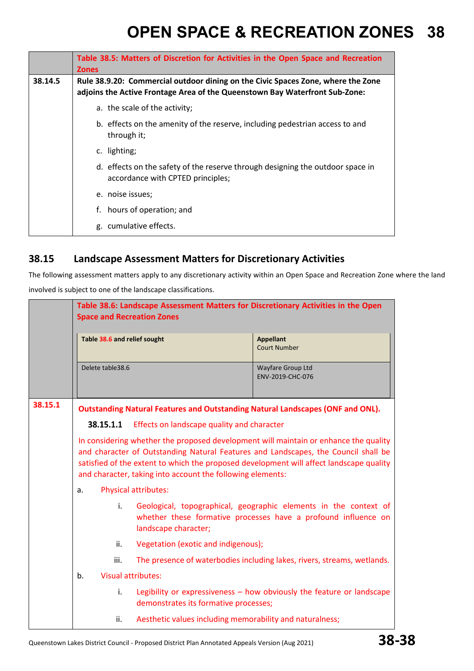|         | Table 38.5: Matters of Discretion for Activities in the Open Space and Recreation<br><b>Zones</b>                                                               |  |  |  |
|---------|-----------------------------------------------------------------------------------------------------------------------------------------------------------------|--|--|--|
| 38.14.5 | Rule 38.9.20: Commercial outdoor dining on the Civic Spaces Zone, where the Zone<br>adjoins the Active Frontage Area of the Queenstown Bay Waterfront Sub-Zone: |  |  |  |
|         | a. the scale of the activity;                                                                                                                                   |  |  |  |
|         | b. effects on the amenity of the reserve, including pedestrian access to and<br>through it;                                                                     |  |  |  |
|         | c. lighting;                                                                                                                                                    |  |  |  |
|         | d. effects on the safety of the reserve through designing the outdoor space in<br>accordance with CPTED principles;                                             |  |  |  |
|         | e. noise issues;                                                                                                                                                |  |  |  |
|         | hours of operation; and<br>f.                                                                                                                                   |  |  |  |
|         | g. cumulative effects.                                                                                                                                          |  |  |  |

### **38.15 Landscape Assessment Matters for Discretionary Activities**

The following assessment matters apply to any discretionary activity within an Open Space and Recreation Zone where the land involved is subject to one of the landscape classifications.

|         | Table 38.6: Landscape Assessment Matters for Discretionary Activities in the Open<br><b>Space and Recreation Zones</b>                                                                                                                                                                                                              |                                                          |                                                                                                                                    |  |
|---------|-------------------------------------------------------------------------------------------------------------------------------------------------------------------------------------------------------------------------------------------------------------------------------------------------------------------------------------|----------------------------------------------------------|------------------------------------------------------------------------------------------------------------------------------------|--|
|         | Table 38.6 and relief sought                                                                                                                                                                                                                                                                                                        |                                                          | <b>Appellant</b><br><b>Court Number</b>                                                                                            |  |
|         | Delete table 38.6                                                                                                                                                                                                                                                                                                                   |                                                          | Wayfare Group Ltd<br>ENV-2019-CHC-076                                                                                              |  |
| 38.15.1 | <b>Outstanding Natural Features and Outstanding Natural Landscapes (ONF and ONL).</b>                                                                                                                                                                                                                                               |                                                          |                                                                                                                                    |  |
|         | Effects on landscape quality and character<br>38.15.1.1                                                                                                                                                                                                                                                                             |                                                          |                                                                                                                                    |  |
|         | In considering whether the proposed development will maintain or enhance the quality<br>and character of Outstanding Natural Features and Landscapes, the Council shall be<br>satisfied of the extent to which the proposed development will affect landscape quality<br>and character, taking into account the following elements: |                                                          |                                                                                                                                    |  |
|         | <b>Physical attributes:</b><br>a.                                                                                                                                                                                                                                                                                                   |                                                          |                                                                                                                                    |  |
|         | i.                                                                                                                                                                                                                                                                                                                                  | landscape character;                                     | Geological, topographical, geographic elements in the context of<br>whether these formative processes have a profound influence on |  |
|         | ii.                                                                                                                                                                                                                                                                                                                                 | Vegetation (exotic and indigenous);                      |                                                                                                                                    |  |
|         | iii.                                                                                                                                                                                                                                                                                                                                |                                                          | The presence of waterbodies including lakes, rivers, streams, wetlands.                                                            |  |
|         | b.                                                                                                                                                                                                                                                                                                                                  | <b>Visual attributes:</b>                                |                                                                                                                                    |  |
|         | i.                                                                                                                                                                                                                                                                                                                                  | demonstrates its formative processes;                    | Legibility or expressiveness - how obviously the feature or landscape                                                              |  |
|         | ii.                                                                                                                                                                                                                                                                                                                                 | Aesthetic values including memorability and naturalness; |                                                                                                                                    |  |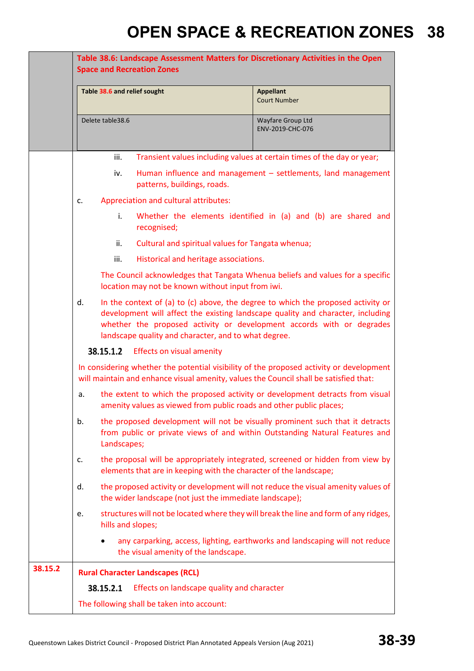|         | Table 38.6: Landscape Assessment Matters for Discretionary Activities in the Open<br><b>Space and Recreation Zones</b>                                                                                                                                                                                     |                                                                              |  |  |
|---------|------------------------------------------------------------------------------------------------------------------------------------------------------------------------------------------------------------------------------------------------------------------------------------------------------------|------------------------------------------------------------------------------|--|--|
|         | Table 38.6 and relief sought                                                                                                                                                                                                                                                                               | <b>Appellant</b><br><b>Court Number</b>                                      |  |  |
|         | Delete table 38.6                                                                                                                                                                                                                                                                                          | Wayfare Group Ltd<br>ENV-2019-CHC-076                                        |  |  |
|         | iii.                                                                                                                                                                                                                                                                                                       | Transient values including values at certain times of the day or year;       |  |  |
|         | iv.<br>patterns, buildings, roads.                                                                                                                                                                                                                                                                         | Human influence and management - settlements, land management                |  |  |
|         | Appreciation and cultural attributes:<br>c.                                                                                                                                                                                                                                                                |                                                                              |  |  |
|         | i.<br>recognised;                                                                                                                                                                                                                                                                                          | Whether the elements identified in (a) and (b) are shared and                |  |  |
|         | Cultural and spiritual values for Tangata whenua;<br>ii.                                                                                                                                                                                                                                                   |                                                                              |  |  |
|         | Historical and heritage associations.<br>iii.                                                                                                                                                                                                                                                              |                                                                              |  |  |
|         | The Council acknowledges that Tangata Whenua beliefs and values for a specific<br>location may not be known without input from iwi.                                                                                                                                                                        |                                                                              |  |  |
|         | In the context of (a) to (c) above, the degree to which the proposed activity or<br>d.<br>development will affect the existing landscape quality and character, including<br>whether the proposed activity or development accords with or degrades<br>landscape quality and character, and to what degree. |                                                                              |  |  |
|         | 38.15.1.2<br><b>Effects on visual amenity</b>                                                                                                                                                                                                                                                              |                                                                              |  |  |
|         | In considering whether the potential visibility of the proposed activity or development<br>will maintain and enhance visual amenity, values the Council shall be satisfied that:                                                                                                                           |                                                                              |  |  |
|         | the extent to which the proposed activity or development detracts from visual<br>a.<br>amenity values as viewed from public roads and other public places;                                                                                                                                                 |                                                                              |  |  |
|         | b.<br>the proposed development will not be visually prominent such that it detracts<br>from public or private views of and within Outstanding Natural Features and<br>Landscapes;                                                                                                                          |                                                                              |  |  |
|         | the proposal will be appropriately integrated, screened or hidden from view by<br>c.<br>elements that are in keeping with the character of the landscape;                                                                                                                                                  |                                                                              |  |  |
|         | the proposed activity or development will not reduce the visual amenity values of<br>d.<br>the wider landscape (not just the immediate landscape);                                                                                                                                                         |                                                                              |  |  |
|         | structures will not be located where they will break the line and form of any ridges,<br>e.<br>hills and slopes;                                                                                                                                                                                           |                                                                              |  |  |
|         | the visual amenity of the landscape.                                                                                                                                                                                                                                                                       | any carparking, access, lighting, earthworks and landscaping will not reduce |  |  |
| 38.15.2 | <b>Rural Character Landscapes (RCL)</b>                                                                                                                                                                                                                                                                    |                                                                              |  |  |
|         | 38.15.2.1<br>Effects on landscape quality and character                                                                                                                                                                                                                                                    |                                                                              |  |  |
|         | The following shall be taken into account:                                                                                                                                                                                                                                                                 |                                                                              |  |  |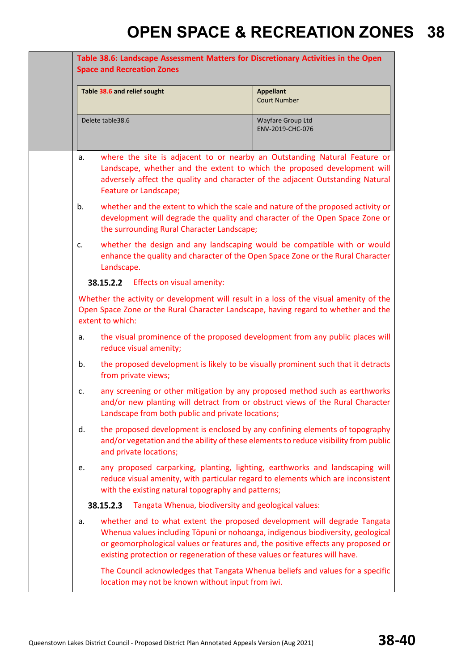| Table 38.6: Landscape Assessment Matters for Discretionary Activities in the Open<br><b>Space and Recreation Zones</b>                                                                           |                                                                            |                                                                                                                                                                                                                                                 |  |  |
|--------------------------------------------------------------------------------------------------------------------------------------------------------------------------------------------------|----------------------------------------------------------------------------|-------------------------------------------------------------------------------------------------------------------------------------------------------------------------------------------------------------------------------------------------|--|--|
| Table 38.6 and relief sought                                                                                                                                                                     |                                                                            | <b>Appellant</b><br><b>Court Number</b>                                                                                                                                                                                                         |  |  |
| Delete table38.6                                                                                                                                                                                 |                                                                            | Wayfare Group Ltd<br>ENV-2019-CHC-076                                                                                                                                                                                                           |  |  |
| a.                                                                                                                                                                                               | Feature or Landscape;                                                      | where the site is adjacent to or nearby an Outstanding Natural Feature or<br>Landscape, whether and the extent to which the proposed development will<br>adversely affect the quality and character of the adjacent Outstanding Natural         |  |  |
| b.                                                                                                                                                                                               | the surrounding Rural Character Landscape;                                 | whether and the extent to which the scale and nature of the proposed activity or<br>development will degrade the quality and character of the Open Space Zone or                                                                                |  |  |
| c.<br>Landscape.                                                                                                                                                                                 |                                                                            | whether the design and any landscaping would be compatible with or would<br>enhance the quality and character of the Open Space Zone or the Rural Character                                                                                     |  |  |
|                                                                                                                                                                                                  | 38.15.2.2 Effects on visual amenity:                                       |                                                                                                                                                                                                                                                 |  |  |
| Whether the activity or development will result in a loss of the visual amenity of the<br>Open Space Zone or the Rural Character Landscape, having regard to whether and the<br>extent to which: |                                                                            |                                                                                                                                                                                                                                                 |  |  |
| a.                                                                                                                                                                                               | reduce visual amenity;                                                     | the visual prominence of the proposed development from any public places will                                                                                                                                                                   |  |  |
| b.                                                                                                                                                                                               | from private views;                                                        | the proposed development is likely to be visually prominent such that it detracts                                                                                                                                                               |  |  |
| c.                                                                                                                                                                                               | Landscape from both public and private locations;                          | any screening or other mitigation by any proposed method such as earthworks<br>and/or new planting will detract from or obstruct views of the Rural Character                                                                                   |  |  |
| d.                                                                                                                                                                                               | and private locations;                                                     | the proposed development is enclosed by any confining elements of topography<br>and/or vegetation and the ability of these elements to reduce visibility from public                                                                            |  |  |
| e.                                                                                                                                                                                               | with the existing natural topography and patterns;                         | any proposed carparking, planting, lighting, earthworks and landscaping will<br>reduce visual amenity, with particular regard to elements which are inconsistent                                                                                |  |  |
| 38.15.2.3                                                                                                                                                                                        | Tangata Whenua, biodiversity and geological values:                        |                                                                                                                                                                                                                                                 |  |  |
| a.                                                                                                                                                                                               | existing protection or regeneration of these values or features will have. | whether and to what extent the proposed development will degrade Tangata<br>Whenua values including Tōpuni or nohoanga, indigenous biodiversity, geological<br>or geomorphological values or features and, the positive effects any proposed or |  |  |
|                                                                                                                                                                                                  | location may not be known without input from iwi.                          | The Council acknowledges that Tangata Whenua beliefs and values for a specific                                                                                                                                                                  |  |  |